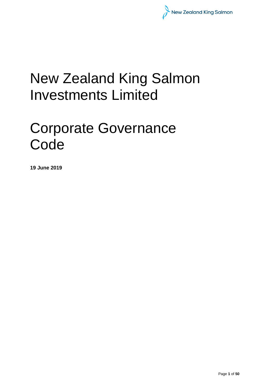

# New Zealand King Salmon Investments Limited

# Corporate Governance **Code**

**19 June 2019**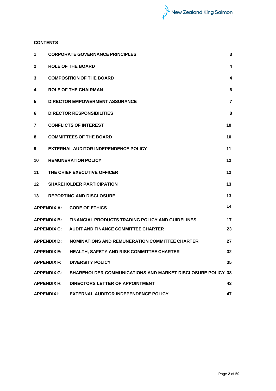# **CONTENTS**

| 1                 |                    | <b>CORPORATE GOVERNANCE PRINCIPLES</b>                            | $\mathbf 3$    |
|-------------------|--------------------|-------------------------------------------------------------------|----------------|
| $\mathbf{2}$      |                    | <b>ROLE OF THE BOARD</b>                                          | 4              |
| 3                 |                    | <b>COMPOSITION OF THE BOARD</b>                                   | 4              |
| 4                 |                    | <b>ROLE OF THE CHAIRMAN</b>                                       | 6              |
| 5                 |                    | <b>DIRECTOR EMPOWERMENT ASSURANCE</b>                             | $\overline{7}$ |
| 6                 |                    | <b>DIRECTOR RESPONSIBILITIES</b>                                  | 8              |
| 7                 |                    | <b>CONFLICTS OF INTEREST</b>                                      | 10             |
| 8                 |                    | <b>COMMITTEES OF THE BOARD</b>                                    | 10             |
| 9                 |                    | <b>EXTERNAL AUDITOR INDEPENDENCE POLICY</b>                       | 11             |
| 10                |                    | <b>REMUNERATION POLICY</b>                                        | 12             |
| 11                |                    | THE CHIEF EXECUTIVE OFFICER                                       | 12             |
| 12                |                    | <b>SHAREHOLDER PARTICIPATION</b>                                  | 13             |
| 13                |                    | <b>REPORTING AND DISCLOSURE</b>                                   | 13             |
|                   | <b>APPENDIX A:</b> | <b>CODE OF ETHICS</b>                                             | 14             |
|                   | <b>APPENDIX B:</b> | <b>FINANCIAL PRODUCTS TRADING POLICY AND GUIDELINES</b>           | 17             |
|                   | <b>APPENDIX C:</b> | <b>AUDIT AND FINANCE COMMITTEE CHARTER</b>                        | 23             |
|                   | <b>APPENDIX D:</b> | <b>NOMINATIONS AND REMUNERATION COMMITTEE CHARTER</b>             | 27             |
|                   | <b>APPENDIX E:</b> | HEALTH, SAFETY AND RISK COMMITTEE CHARTER                         | 32             |
|                   | <b>APPENDIX F:</b> | <b>DIVERSITY POLICY</b>                                           | 35             |
|                   | <b>APPENDIX G:</b> | <b>SHAREHOLDER COMMUNICATIONS AND MARKET DISCLOSURE POLICY 38</b> |                |
|                   | <b>APPENDIX H:</b> | DIRECTORS LETTER OF APPOINTMENT                                   | 43             |
| <b>APPENDIXI:</b> |                    | <b>EXTERNAL AUDITOR INDEPENDENCE POLICY</b>                       | 47             |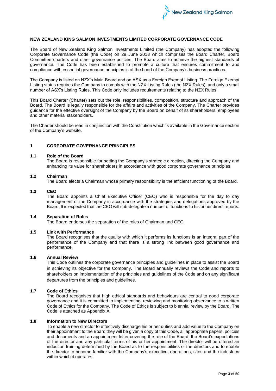

### **NEW ZEALAND KING SALMON INVESTMENTS LIMITED CORPORATE GOVERNANCE CODE**

The Board of New Zealand King Salmon Investments Limited (the Company) has adopted the following Corporate Governance Code (the Code) on 29 June 2018 which comprises the Board Charter, Board Committee charters and other governance policies. The Board aims to achieve the highest standards of governance. The Code has been established to promote a culture that ensures commitment to and compliance with essential governance principles is at the heart of the Company's business practices.

The Company is listed on NZX's Main Board and on ASX as a Foreign Exempt Listing. The Foreign Exempt Listing status requires the Company to comply with the NZX Listing Rules (the NZX Rules), and only a small number of ASX's Listing Rules. This Code only includes requirements relating to the NZX Rules.

This Board Charter (Charter) sets out the role, responsibilities, composition, structure and approach of the Board. The Board is legally responsible for the affairs and activities of the Company. The Charter provides guidance for the effective oversight of the Company by the Board on behalf of its shareholders, employees and other material stakeholders.

The Charter should be read in conjunction with the Constitution which is available in the Governance section of the Company's website.

# **1 CORPORATE GOVERNANCE PRINCIPLES**

#### **1.1 Role of the Board**

The Board is responsible for setting the Company's strategic direction, directing the Company and enhancing its value for shareholders in accordance with good corporate governance principles.

#### **1.2 Chairman**

The Board elects a Chairman whose primary responsibility is the efficient functioning of the Board.

# **1.3 CEO**

The Board appoints a Chief Executive Officer (CEO) who is responsible for the day to day management of the Company in accordance with the strategies and delegations approved by the Board. It is expected that the CEO will sub-delegate a number of functions to his or her direct reports.

#### **1.4 Separation of Roles**

The Board endorses the separation of the roles of Chairman and CEO.

#### **1.5 Link with Performance**

The Board recognises that the quality with which it performs its functions is an integral part of the performance of the Company and that there is a strong link between good governance and performance.

#### **1.6 Annual Review**

This Code outlines the corporate governance principles and guidelines in place to assist the Board in achieving its objective for the Company. The Board annually reviews the Code and reports to shareholders on implementation of the principles and guidelines of the Code and on any significant departures from the principles and guidelines.

#### **1.7 Code of Ethics**

The Board recognises that high ethical standards and behaviours are central to good corporate governance and it is committed to implementing, reviewing and monitoring observance to a written Code of Ethics for the Company. The Code of Ethics is subject to biennial review by the Board. The Code is attached as Appendix A.

#### **1.8 Information to New Directors**

To enable a new director to effectively discharge his or her duties and add value to the Company on their appointment to the Board they will be given a copy of this Code, all appropriate papers, policies and documents and an appointment letter covering the role of the Board, the Board's expectations of the director and any particular terms of his or her appointment. The director will be offered an induction training determined by the Board as to the responsibilities of the directors and to enable the director to become familiar with the Company's executive, operations, sites and the industries within which it operates.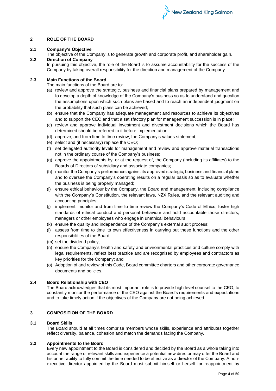# **2 ROLE OF THE BOARD**

# **2.1 Company's Objective**

The objective of the Company is to generate growth and corporate profit, and shareholder gain.

# **2.2 Direction of Company**

In pursuing this objective, the role of the Board is to assume accountability for the success of the Company by taking overall responsibility for the direction and management of the Company.

# **2.3 Main Functions of the Board**

The main functions of the Board are to:

- (a) review and approve the strategic, business and financial plans prepared by management and to develop a depth of knowledge of the Company's business so as to understand and question the assumptions upon which such plans are based and to reach an independent judgment on the probability that such plans can be achieved;
- (b) ensure that the Company has adequate management and resources to achieve its objectives and to support the CEO and that a satisfactory plan for management succession is in place;
- (c) review and approve individual investment and divestment decisions which the Board has determined should be referred to it before implementation;
- (d) approve, and from time to time review, the Company's values statement;
- (e) select and (if necessary) replace the CEO;
- (f) set delegated authority levels for management and review and approve material transactions not in the ordinary course of the Company's business;
- (g) approve the appointments by, or at the request of, the Company (including its affiliates) to the Boards of Directors of subsidiary and associate companies;
- (h) monitor the Company's performance against its approved strategic, business and financial plans and to oversee the Company's operating results on a regular basis so as to evaluate whether the business is being properly managed;
- (i) ensure ethical behaviour by the Company, the Board and management, including compliance with the Company's Constitution, the relevant laws, NZX Rules, and the relevant auditing and accounting principles;
- (j) implement, monitor and from time to time review the Company's Code of Ethics, foster high standards of ethical conduct and personal behaviour and hold accountable those directors, managers or other employees who engage in unethical behaviours;
- (k) ensure the quality and independence of the Company's external audit process;
- (l) assess from time to time its own effectiveness in carrying out these functions and the other responsibilities of the Board;
- (m) set the dividend policy;
- (n) ensure the Company's health and safety and environmental practices and culture comply with legal requirements, reflect best practice and are recognised by employees and contractors as key priorities for the Company; and
- (o) Adoption of and review of this Code, Board committee charters and other corporate governance documents and policies.

# **2.4 Board Relationship with CEO**

The Board acknowledges that its most important role is to provide high level counsel to the CEO, to constantly monitor the performance of the CEO against the Board's requirements and expectations and to take timely action if the objectives of the Company are not being achieved.

# **3 COMPOSITION OF THE BOARD**

# **3.1 Board Skills**

The Board should at all times comprise members whose skills, experience and attributes together reflect diversity, balance, cohesion and match the demands facing the Company.

# **3.2 Appointments to the Board**

Every new appointment to the Board is considered and decided by the Board as a whole taking into account the range of relevant skills and experience a potential new director may offer the Board and his or her ability to fully commit the time needed to be effective as a director of the Company. A nonexecutive director appointed by the Board must submit himself or herself for reappointment by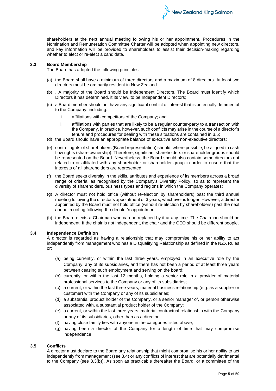shareholders at the next annual meeting following his or her appointment. Procedures in the Nomination and Remuneration Committee Charter will be adopted when appointing new directors, and key information will be provided to shareholders to assist their decision-making regarding whether to elect or re-elect a candidate.

New Zealand King Salmon

#### **3.3 Board Membership**

The Board has adopted the following principles:

- (a) the Board shall have a minimum of three directors and a maximum of 8 directors. At least two directors must be ordinarily resident in New Zealand.
- (b) . A majority of the Board should be Independent Directors. The Board must identify which Directors it has determined, it its view, to be Independent Directors;
- (c) a Board member should not have any significant conflict of interest that is potentially detrimental to the Company, including:
	- i. affiliations with competitors of the Company; and
	- ii. affiliations with parties that are likely to be a regular counter-party to a transaction with the Company. In practice, however, such conflicts may arise in the course of a director's tenure and procedures for dealing with these situations are contained in 3.5;
- (d) the Board should have an appropriate balance of executive and non-executive directors;
- (e) control rights of shareholders (Board representation) should, where possible, be aligned to cash flow rights (share ownership). Therefore, significant shareholders or shareholder groups should be represented on the Board. Nevertheless, the Board should also contain some directors not related to or affiliated with any shareholder or shareholder group in order to ensure that the interests of all shareholders are represented;
- (f) the Board seeks diversity in the skills, attributes and experience of its members across a broad range of criteria, as recognised by the Company's Diversity Policy, so as to represent the diversity of shareholders, business types and regions in which the Company operates;
- (g) A director must not hold office (without re-election by shareholders) past the third annual meeting following the director's appointment or 3 years, whichever is longer. However, a director appointed by the Board must not hold office (without re-election by shareholders) past the next annual meeting following the director's appointment.
- (h) the Board elects a Chairman who can be replaced by it at any time. The Chairman should be independent. If the chair is not independent, the chair and the CEO should be different people.

#### **3.4 Independence Definition**

A director is regarded as having a relationship that may compromise his or her ability to act independently from management who has a Disqualifying Relationship as defined in the NZX Rules or:

- (a) being currently, or within the last three years, employed in an executive role by the Company, any of its subsidiaries, and there has not been a period of at least three years between ceasing such employment and serving on the board;
- (b) currently, or within the last 12 months, holding a senior role in a provider of material professional services to the Company or any of its subsidiaries;
- (c) a current, or within the last three years, material business relationship (e.g. as a supplier or customer) with the Company or any of its subsidiaries;
- (d) a substantial product holder of the Company, or a senior manager of, or person otherwise associated with, a substantial product holder of the Company;
- (e) a current, or within the last three years, material contractual relationship with the Company or any of its subsidiaries, other than as a director;
- (f) having close family ties with anyone in the categories listed above;
- (g) having been a director of the Company for a length of time that may compromise independence

# **3.5 Conflicts**

A director must declare to the Board any relationship that might compromise his or her ability to act independently from management (see 3.4) or any conflicts of interest that are potentially detrimental to the Company (see 3.3(b)). As soon as practicable thereafter the Board, or a committee of the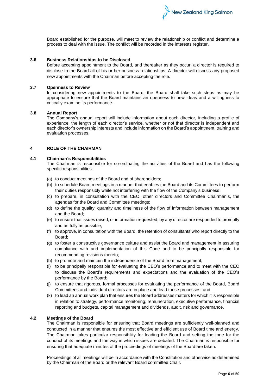Board established for the purpose, will meet to review the relationship or conflict and determine a process to deal with the issue. The conflict will be recorded in the interests register.

# **3.6 Business Relationships to be Disclosed**

Before accepting appointment to the Board, and thereafter as they occur, a director is required to disclose to the Board all of his or her business relationships. A director will discuss any proposed new appointments with the Chairman before accepting the role.

# **3.7 Openness to Review**

In considering new appointments to the Board, the Board shall take such steps as may be appropriate to ensure that the Board maintains an openness to new ideas and a willingness to critically examine its performance.

#### **3.8 Annual Report**

The Company's annual report will include information about each director, including a profile of experience, the length of each director's service, whether or not that director is independent and each director's ownership interests and include information on the Board's appointment, training and evaluation processes.

# **4 ROLE OF THE CHAIRMAN**

# **4.1 Chairman's Responsibilities**

The Chairman is responsible for co-ordinating the activities of the Board and has the following specific responsibilities:

- (a) to conduct meetings of the Board and of shareholders;
- (b) to schedule Board meetings in a manner that enables the Board and its Committees to perform their duties responsibly while not interfering with the flow of the Company's business;
- (c) to prepare, in consultation with the CEO, other directors and Committee Chairman's, the agendas for the Board and Committee meetings;
- (d) to define the quality, quantity and timeliness of the flow of information between management and the Board;
- (e) to ensure that issues raised, or information requested, by any director are responded to promptly and as fully as possible;
- (f) to approve, in consultation with the Board, the retention of consultants who report directly to the Board;
- (g) to foster a constructive governance culture and assist the Board and management in assuring compliance with and implementation of this Code and to be principally responsible for recommending revisions thereto;
- (h) to promote and maintain the independence of the Board from management;
- (i) to be principally responsible for evaluating the CEO's performance and to meet with the CEO to discuss the Board's requirements and expectations and the evaluation of the CEO's performance by the Board;
- (j) to ensure that rigorous, formal processes for evaluating the performance of the Board, Board Committees and individual directors are in place and lead these processes; and
- (k) to lead an annual work plan that ensures the Board addresses matters for which it is responsible in relation to strategy, performance monitoring, remuneration, executive performance, financial reporting and budgets, capital management and dividends, audit, risk and governance.

### **4.2 Meetings of the Board**

The Chairman is responsible for ensuring that Board meetings are sufficiently well-planned and conducted in a manner that ensures the most effective and efficient use of Board time and energy. The Chairman takes particular responsibility for leading the Board and setting the tone for the conduct of its meetings and the way in which issues are debated. The Chairman is responsible for ensuring that adequate minutes of the proceedings of meetings of the Board are taken.

Proceedings of all meetings will be in accordance with the Constitution and otherwise as determined by the Chairman of the Board or the relevant Board committee Chair.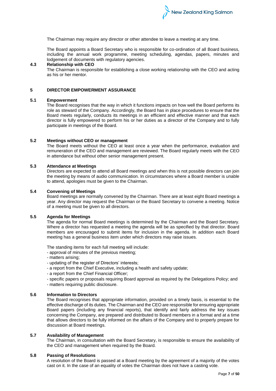The Chairman may require any director or other attendee to leave a meeting at any time.

The Board appoints a Board Secretary who is responsible for co-ordination of all Board business, including the annual work programme, meeting scheduling, agendas, papers, minutes and lodgement of documents with regulatory agencies.

# **4.3 Relationship with CEO**

The Chairman is responsible for establishing a close working relationship with the CEO and acting as his or her mentor.

#### **5 DIRECTOR EMPOWERMENT ASSURANCE**

#### **5.1 Empowerment**

The Board recognises that the way in which it functions impacts on how well the Board performs its role as steward of the Company. Accordingly, the Board has in place procedures to ensure that the Board meets regularly, conducts its meetings in an efficient and effective manner and that each director is fully empowered to perform his or her duties as a director of the Company and to fully participate in meetings of the Board.

#### **5.2 Meetings without CEO or management**

The Board meets without the CEO at least once a year when the performance, evaluation and remuneration of the CEO and management are reviewed. The Board regularly meets with the CEO in attendance but without other senior management present.

# **5.3 Attendance at Meetings**

Directors are expected to attend all Board meetings and when this is not possible directors can join the meeting by means of audio communication. In circumstances where a Board member is unable to attend, apologies must be given to the Chairman.

#### **5.4 Convening of Meetings**

Board meetings are normally convened by the Chairman. There are at least eight Board meetings a year. Any director may request the Chairman or the Board Secretary to convene a meeting. Notice of a meeting must be given to all directors.

# **5.5 Agenda for Meetings**

The agenda for normal Board meetings is determined by the Chairman and the Board Secretary. Where a director has requested a meeting the agenda will be as specified by that director. Board members are encouraged to submit items for inclusion in the agenda. In addition each Board meeting has a general business item under which directors may raise issues.

The standing items for each full meeting will include:

- approval of minutes of the previous meeting;

- matters arising;
- updating of the register of Directors' interests;
- a report from the Chief Executive, including a health and safety update;
- a report from the Chief Financial Officer;
- specific papers or proposals requiring Board approval as required by the Delegations Policy; and
- matters requiring public disclosure.

# **5.6 Information to Directors**

The Board recognises that appropriate information, provided on a timely basis, is essential to the effective discharge of its duties. The Chairman and the CEO are responsible for ensuring appropriate Board papers (including any financial reports), that identify and fairly address the key issues concerning the Company, are prepared and distributed to Board members in a format and at a time that allows directors to be fully informed on the affairs of the Company and to properly prepare for discussion at Board meetings.

#### **5.7 Availability of Management**

The Chairman, in consultation with the Board Secretary, is responsible to ensure the availability of the CEO and management when required by the Board.

# **5.8 Passing of Resolutions**

A resolution of the Board is passed at a Board meeting by the agreement of a majority of the votes cast on it. In the case of an equality of votes the Chairman does not have a casting vote.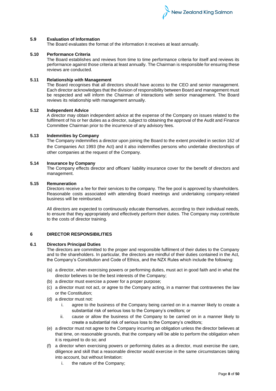

# **5.9 Evaluation of Information**

The Board evaluates the format of the information it receives at least annually.

#### **5.10 Performance Criteria**

The Board establishes and reviews from time to time performance criteria for itself and reviews its performance against those criteria at least annually. The Chairman is responsible for ensuring these reviews are conducted.

# **5.11 Relationship with Management**

The Board recognises that all directors should have access to the CEO and senior management. Each director acknowledges that the division of responsibility between Board and management must be respected and will inform the Chairman of interactions with senior management. The Board reviews its relationship with management annually.

#### **5.12 Independent Advice**

A director may obtain independent advice at the expense of the Company on issues related to the fulfilment of his or her duties as a director, subject to obtaining the approval of the Audit and Finance Committee Chairman prior to the incurrence of any advisory fees.

# **5.13 Indemnities by Company**

The Company indemnifies a director upon joining the Board to the extent provided in section 162 of the Companies Act 1993 (the Act) and it also indemnifies persons who undertake directorships of other companies at the request of the Company.

# **5.14 Insurance by Company**

The Company effects director and officers' liability insurance cover for the benefit of directors and management.

#### **5.15 Remuneration**

Directors receive a fee for their services to the company. The fee pool is approved by shareholders. Reasonable costs associated with attending Board meetings and undertaking company-related business will be reimbursed.

All directors are expected to continuously educate themselves, according to their individual needs, to ensure that they appropriately and effectively perform their duties. The Company may contribute to the costs of director training.

# **6 DIRECTOR RESPONSIBILITIES**

#### **6.1 Directors Principal Duties**

The directors are committed to the proper and responsible fulfilment of their duties to the Company and to the shareholders. In particular, the directors are mindful of their duties contained in the Act, the Company's Constitution and Code of Ethics, and the NZX Rules which include the following:

- (a) a director, when exercising powers or performing duties, must act in good faith and in what the director believes to be the best interests of the Company;
- (b) a director must exercise a power for a proper purpose;
- (c) a director must not act, or agree to the Company acting, in a manner that contravenes the law or the Constitution;
- (d) a director must not:
	- i. agree to the business of the Company being carried on in a manner likely to create a substantial risk of serious loss to the Company's creditors; or
	- ii. cause or allow the business of the Company to be carried on in a manner likely to create a substantial risk of serious loss to the Company's creditors;
- (e) a director must not agree to the Company incurring an obligation unless the director believes at that time, on reasonable grounds, that the company will be able to perform the obligation when it is required to do so; and
- (f) a director when exercising powers or performing duties as a director, must exercise the care, diligence and skill that a reasonable director would exercise in the same circumstances taking into account, but without limitation:
	- i. the nature of the Company;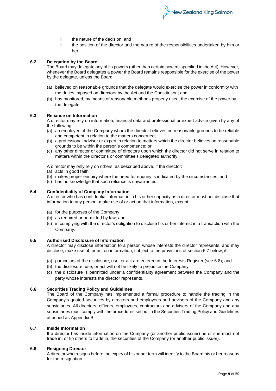- New Zealand King Salmon
- ii. the nature of the decision; and
- iii. the position of the director and the nature of the responsibilities undertaken by him or her.

# **6.2 Delegation by the Board**

The Board may delegate any of its powers (other than certain powers specified in the Act). However, whenever the Board delegates a power the Board remains responsible for the exercise of the power by the delegate, unless the Board:

- (a) believed on reasonable grounds that the delegate would exercise the power in conformity with the duties imposed on directors by the Act and the Constitution; and
- (b) has monitored, by means of reasonable methods properly used, the exercise of the power by the delegate.

# **6.3 Reliance on Information**

A director may rely on information, financial data and professional or expert advice given by any of the following:

- (a) an employee of the Company whom the director believes on reasonable grounds to be reliable and competent in relation to the matters concerned;
- (b) a professional advisor or expert in relation to matters which the director believes on reasonable grounds to be within the person's competence; or
- (c) any other director or committee of directors upon which the director did not serve in relation to matters within the director's or committee's delegated authority.

A director may only rely on others, as described above, if the director:

- (a) acts in good faith;
- (b) makes proper enquiry where the need for enquiry is indicated by the circumstances; and
- (c) has no knowledge that such reliance is unwarranted.

#### **6.4 Confidentiality of Company Information**

A director who has confidential information in his or her capacity as a director must not disclose that information to any person, make use of or act on that information, except:

- (a) for the purposes of the Company;
- (b) as required or permitted by law; and
- (c) in complying with the director's obligation to disclose his or her interest in a transaction with the Company.

#### **6.5 Authorised Disclosure of Information**

A director may disclose information to a person whose interests the director represents, and may disclose, make use of, or act on information, subject to the provisions of section 6.7 below, if:

- (a) particulars of the disclosure, use, or act are entered in the Interests Register (see 6.8); and
- (b) the disclosure, use, or act will not be likely to prejudice the Company.
- (c) the disclosure is permitted under a confidentiality agreement between the Company and the party whose interests the director represents.

#### **6.6 Securities Trading Policy and Guidelines**

The Board of the Company has implemented a formal procedure to handle the trading in the Company's quoted securities by directors and employees and advisers of the Company and any subsidiaries. All directors, officers, employees, contractors and advisers of the Company and any subsidiaries must comply with the procedures set out in the Securities Trading Policy and Guidelines attached as Appendix B.

#### **6.7 Inside Information**

If a director has inside information on the Company (or another public issuer) he or she must not trade in, or tip others to trade in, the securities of the Company (or another public issuer).

#### **6.8 Resigning Director**

A director who resigns before the expiry of his or her term will identify to the Board his or her reasons for the resignation.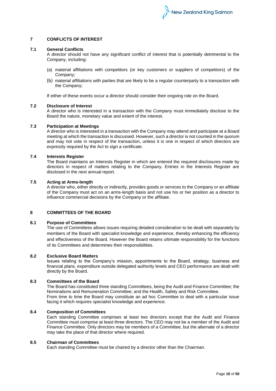# **7 CONFLICTS OF INTEREST**

#### **7.1 General Conflicts**

A director should not have any significant conflict of interest that is potentially detrimental to the Company, including:

- (a) material affiliations with competitors (or key customers or suppliers of competitors) of the Company;
- (b) material affiliations with parties that are likely to be a regular counterparty to a transaction with the Company;

If either of these events occur a director should consider their ongoing role on the Board.

#### **7.2 Disclosure of Interest**

A director who is interested in a transaction with the Company must immediately disclose to the Board the nature, monetary value and extent of the interest.

#### **7.3 Participation at Meetings**

A director who is interested in a transaction with the Company may attend and participate at a Board meeting at which the transaction is discussed. However, such a director is not counted in the quorum and may not vote in respect of the transaction, unless it is one in respect of which directors are expressly required by the Act to sign a certificate.

# **7.4 Interests Register**

The Board maintains an Interests Register in which are entered the required disclosures made by directors in respect of matters relating to the Company. Entries in the Interests Register are disclosed in the next annual report.

## **7.5 Acting at Arms-length**

A director who, either directly or indirectly, provides goods or services to the Company or an affiliate of the Company must act on an arms-length basis and not use his or her position as a director to influence commercial decisions by the Company or the affiliate.

# **8 COMMITTEES OF THE BOARD**

#### **8.1 Purpose of Committees**

The use of Committees allows issues requiring detailed consideration to be dealt with separately by members of the Board with specialist knowledge and experience, thereby enhancing the efficiency and effectiveness of the Board. However the Board retains ultimate responsibility for the functions of its Committees and determines their responsibilities.

# **8.2 Exclusive Board Matters**

Issues relating to the Company's mission, appointments to the Board, strategy, business and financial plans, expenditure outside delegated authority levels and CEO performance are dealt with directly by the Board.

# **8.3 Committees of the Board**

The Board has constituted three standing Committees, being the Audit and Finance Committee; the Nominations and Remuneration Committee; and the Health, Safety and Risk Committee. From time to time the Board may constitute an ad hoc Committee to deal with a particular issue facing it which requires specialist knowledge and experience.

#### **8.4 Composition of Committees**

Each standing Committee comprises at least two directors except that the Audit and Finance Committee must comprise at least three directors. The CEO may not be a member of the Audit and Finance Committee. Only directors may be members of a Committee, but the alternate of a director may take the place of that director where required.

# **8.5 Chairman of Committees**

Each standing Committee must be chaired by a director other than the Chairman.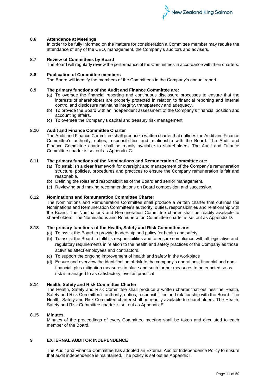

### **8.6 Attendance at Meetings**

In order to be fully informed on the matters for consideration a Committee member may require the attendance of any of the CEO, management, the Company's auditors and advisers.

# **8.7 Review of Committees by Board**

The Board will regularly review the performance of the Committees in accordance with their charters.

# **8.8 Publication of Committee members**

The Board will identify the members of the Committees in the Company's annual report.

# **8.9 The primary functions of the Audit and Finance Committee are:**

- (a) To oversee the financial reporting and continuous disclosure processes to ensure that the interests of shareholders are properly protected in relation to financial reporting and internal control and disclosure maintains integrity, transparency and adequacy.
- (b) To provide the Board with an independent assessment of the Company's financial position and accounting affairs.
- (c) To oversea the Company's capital and treasury risk management.

# **8.10 Audit and Finance Committee Charter**

The Audit and Finance Committee shall produce a written charter that outlines the Audit and Finance Committee's authority, duties, responsibilities and relationship with the Board. The Audit and Finance Committee charter shall be readily available to shareholders. The Audit and Finance Committee charter is set out as Appendix C.

# **8.11 The primary functions of the Nominations and Remuneration Committee are:**

- (a) To establish a clear framework for oversight and management of the Company's remuneration structure, policies, procedures and practices to ensure the Company remuneration is fair and reasonable.
- (b) Defining the roles and responsibilities of the Board and senior management.
- (c) Reviewing and making recommendations on Board composition and succession.

# **8.12 Nominations and Remuneration Committee Charter**

The Nominations and Remuneration Committee shall produce a written charter that outlines the Nominations and Remuneration Committee's authority, duties, responsibilities and relationship with the Board. The Nominations and Remuneration Committee charter shall be readily available to shareholders. The Nominations and Remuneration Committee charter is set out as Appendix D.

# **8.13 The primary functions of the Health, Safety and Risk Committee are:**

- (a) To assist the Board to provide leadership and policy for health and safety.
- (b) To assist the Board to fulfil its responsibilities and to ensure compliance with all legislative and regulatory requirements in relation to the health and safety practices of the Company as those activities affect employees and contractors.
- (c) To support the ongoing improvement of health and safety in the workplace
- (d) Ensure and overview the identification of risk to the company's operations, financial and nonfinancial, plus mitigation measures in place and such further measures to be enacted so as risk is managed to as satisfactory level as practical

# **8.14 Health, Safety and Risk Committee Charter**

The Health, Safety and Risk Committee shall produce a written charter that outlines the Health, Safety and Risk Committee's authority, duties, responsibilities and relationship with the Board. The Health, Safety and Risk Committee charter shall be readily available to shareholders. The Health, Safety and Risk Committee charter is set out as Appendix E

# **8.15 Minutes**

Minutes of the proceedings of every Committee meeting shall be taken and circulated to each member of the Board.

# **9 EXTERNAL AUDITOR INDEPENDENCE**

The Audit and Finance Committee has adopted an External Auditor Independence Policy to ensure that audit independence is maintained. The policy is set out as Appendix I.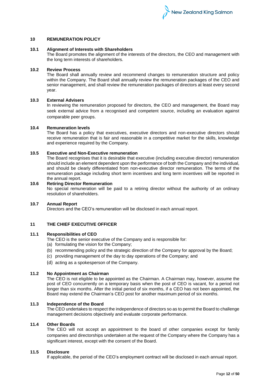#### **10 REMUNERATION POLICY**

# **10.1 Alignment of Interests with Shareholders**

The Board promotes the alignment of the interests of the directors, the CEO and management with the long term interests of shareholders.

# **10.2 Review Process**

The Board shall annually review and recommend changes to remuneration structure and policy within the Company. The Board shall annually review the remuneration packages of the CEO and senior management, and shall review the remuneration packages of directors at least every second year.

# **10.3 External Advisers**

In reviewing the remuneration proposed for directors, the CEO and management, the Board may seek external advice from a recognised and competent source, including an evaluation against comparable peer groups.

#### **10.4 Remuneration levels**

The Board has a policy that executives, executive directors and non-executive directors should receive remuneration that is fair and reasonable in a competitive market for the skills, knowledge and experience required by the Company.

# **10.5 Executive and Non-Executive remuneration**

The Board recognises that it is desirable that executive (including executive director) remuneration should include an element dependent upon the performance of both the Company and the individual, and should be clearly differentiated from non-executive director remuneration. The terms of the remuneration package including short term incentives and long term incentives will be reported in the annual report.

#### **10.6 Retiring Director Remuneration**

No special remuneration will be paid to a retiring director without the authority of an ordinary resolution of shareholders.

# **10.7 Annual Report**

Directors and the CEO's remuneration will be disclosed in each annual report.

#### **11 THE CHIEF EXECUTIVE OFFICER**

#### **11.1 Responsibilities of CEO**

The CEO is the senior executive of the Company and is responsible for:

- (a) formulating the vision for the Company;
- (b) recommending policy and the strategic direction of the Company for approval by the Board;
- (c) providing management of the day to day operations of the Company; and
- (d) acting as a spokesperson of the Company.

# **11.2 No Appointment as Chairman**

The CEO is not eligible to be appointed as the Chairman. A Chairman may, however, assume the post of CEO concurrently on a temporary basis when the post of CEO is vacant, for a period not longer than six months. After the initial period of six months, if a CEO has not been appointed, the Board may extend the Chairman's CEO post for another maximum period of six months.

#### **11.3 Independence of the Board**

The CEO undertakes to respect the independence of directors so as to permit the Board to challenge management decisions objectively and evaluate corporate performance.

#### **11.4 Other Boards**

The CEO will not accept an appointment to the board of other companies except for family companies and directorships undertaken at the request of the Company where the Company has a significant interest, except with the consent of the Board.

#### **11.5 Disclosure**

If applicable, the period of the CEO's employment contract will be disclosed in each annual report.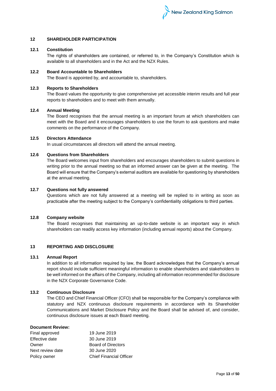

# **12 SHAREHOLDER PARTICIPATION**

# **12.1 Constitution**

The rights of shareholders are contained, or referred to, in the Company's Constitution which is available to all shareholders and in the Act and the NZX Rules.

# **12.2 Board Accountable to Shareholders**

The Board is appointed by, and accountable to, shareholders.

# **12.3 Reports to Shareholders**

The Board values the opportunity to give comprehensive yet accessible interim results and full year reports to shareholders and to meet with them annually.

# **12.4 Annual Meeting**

The Board recognises that the annual meeting is an important forum at which shareholders can meet with the Board and it encourages shareholders to use the forum to ask questions and make comments on the performance of the Company.

# **12.5 Directors Attendance**

In usual circumstances all directors will attend the annual meeting.

# **12.6 Questions from Shareholders**

The Board welcomes input from shareholders and encourages shareholders to submit questions in writing prior to the annual meeting so that an informed answer can be given at the meeting. The Board will ensure that the Company's external auditors are available for questioning by shareholders at the annual meeting.

# **12.7 Questions not fully answered**

Questions which are not fully answered at a meeting will be replied to in writing as soon as practicable after the meeting subject to the Company's confidentiality obligations to third parties.

# **12.8 Company website**

The Board recognises that maintaining an up-to-date website is an important way in which shareholders can readily access key information (including annual reports) about the Company.

# **13 REPORTING AND DISCLOSURE**

# **13.1 Annual Report**

In addition to all information required by law, the Board acknowledges that the Company's annual report should include sufficient meaningful information to enable shareholders and stakeholders to be well informed on the affairs of the Company, including all information recommended for disclosure in the NZX Corporate Governance Code.

# **13.2 Continuous Disclosure**

The CEO and Chief Financial Officer (CFO) shall be responsible for the Company's compliance with statutory and NZX continuous disclosure requirements in accordance with its Shareholder Communications and Market Disclosure Policy and the Board shall be advised of, and consider, continuous disclosure issues at each Board meeting.

# **Document Review:**

| Final approved   | 19 June 2019                   |
|------------------|--------------------------------|
| Effective date   | 30 June 2019                   |
| Owner            | <b>Board of Directors</b>      |
| Next review date | 30 June 2020                   |
| Policy owner     | <b>Chief Financial Officer</b> |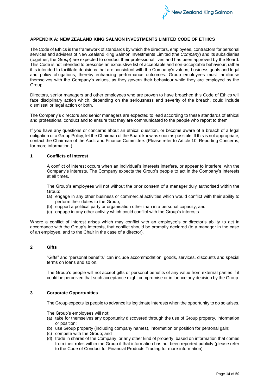

# **APPENDIX A: NEW ZEALAND KING SALMON INVESTMENTS LIMITED CODE OF ETHICS**

The Code of Ethics is the framework of standards by which the directors, employees, contractors for personal services and advisers of New Zealand King Salmon Investments Limited (the *Company*) and its subsidiaries (together, the *Group*) are expected to conduct their professional lives and has been approved by the Board. This Code is not intended to prescribe an exhaustive list of acceptable and non-acceptable behaviour; rather it is intended to facilitate decisions that are consistent with the Company's values, business goals and legal and policy obligations, thereby enhancing performance outcomes. Group employees must familiarise themselves with the Company's values, as they govern their behaviour while they are employed by the Group.

Directors, senior managers and other employees who are proven to have breached this Code of Ethics will face disciplinary action which, depending on the seriousness and severity of the breach, could include dismissal or legal action or both.

The Company's directors and senior managers are expected to lead according to these standards of ethical and professional conduct and to ensure that they are communicated to the people who report to them.

If you have any questions or concerns about an ethical question, or become aware of a breach of a legal obligation or a Group Policy, let the Chairman of the Board know as soon as possible. If this is not appropriate, contact the Chairman of the Audit and Finance Committee. (Please refer to Article 10, Reporting Concerns, for more information.)

# **1 Conflicts of Interest**

A conflict of interest occurs when an individual's interests interfere, or appear to interfere, with the Company's interests. The Company expects the Group's people to act in the Company's interests at all times.

The Group's employees will not without the prior consent of a manager duly authorised within the Group:

- (a) engage in any other business or commercial activities which would conflict with their ability to perform their duties to the Group;
- (b) support a political party or organisation other than in a personal capacity; and
- (c) engage in any other activity which could conflict with the Group's interests.

Where a conflict of interest arises which may conflict with an employee's or director's ability to act in accordance with the Group's interests, that conflict should be promptly declared (to a manager in the case of an employee, and to the Chair in the case of a director).

# **2 Gifts**

"Gifts" and "personal benefits" can include accommodation, goods, services, discounts and special terms on loans and so on.

The Group's people will not accept gifts or personal benefits of any value from external parties if it could be perceived that such acceptance might compromise or influence any decision by the Group.

# **3 Corporate Opportunities**

The Group expects its people to advance its legitimate interests when the opportunity to do so arises.

The Group's employees will not:

- (a) take for themselves any opportunity discovered through the use of Group property, information or position;
- (b) use Group property (including company names), information or position for personal gain;
- (c) compete with the Group; and
- (d) trade in shares of the Company, or any other kind of property, based on information that comes from their roles within the Group if that information has not been reported publicly (please refer to the Code of Conduct for Financial Products Trading for more information).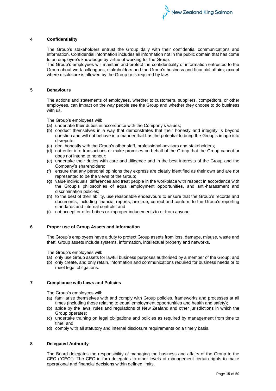

### **4 Confidentiality**

The Group's stakeholders entrust the Group daily with their confidential communications and information. Confidential information includes all information not in the public domain that has come to an employee's knowledge by virtue of working for the Group.

The Group's employees will maintain and protect the confidentiality of information entrusted to the Group about work colleagues, stakeholders and the Group's business and financial affairs, except where disclosure is allowed by the Group or is required by law.

### **5 Behaviours**

The actions and statements of employees, whether to customers, suppliers, competitors, or other employees, can impact on the way people see the Group and whether they choose to do business with us.

The Group's employees will:

- (a) undertake their duties in accordance with the Company's values;
- (b) conduct themselves in a way that demonstrates that their honesty and integrity is beyond question and will not behave in a manner that has the potential to bring the Group's image into disrepute;
- (c) deal honestly with the Group's other staff, professional advisors and stakeholders;
- (d) not enter into transactions or make promises on behalf of the Group that the Group cannot or does not intend to honour;
- (e) undertake their duties with care and diligence and in the best interests of the Group and the Company's shareholders;
- (f) ensure that any personal opinions they express are clearly identified as their own and are not represented to be the views of the Group;
- (g) value individuals' differences and treat people in the workplace with respect in accordance with the Group's philosophies of equal employment opportunities, and anti-harassment and discrimination policies;
- (h) to the best of their ability, use reasonable endeavours to ensure that the Group's records and documents, including financial reports, are true, correct and conform to the Group's reporting standards and internal controls; and
- (i) not accept or offer bribes or improper inducements to or from anyone.

#### **6 Proper use of Group Assets and Information**

The Group's employees have a duty to protect Group assets from loss, damage, misuse, waste and theft. Group assets include systems, information, intellectual property and networks.

The Group's employees will:

- (a) only use Group assets for lawful business purposes authorised by a member of the Group; and
- (b) only create, and only retain, information and communications required for business needs or to meet legal obligations.

#### **7 Compliance with Laws and Policies**

The Group's employees will:

- (a) familiarise themselves with and comply with Group policies, frameworks and processes at all times (including those relating to equal employment opportunities and health and safety);
- (b) abide by the laws, rules and regulations of New Zealand and other jurisdictions in which the Group operates;
- (c) undertake training on legal obligations and policies as required by management from time to time; and
- (d) comply with all statutory and internal disclosure requirements on a timely basis.

# **8 Delegated Authority**

The Board delegates the responsibility of managing the business and affairs of the Group to the CEO ("CEO"). The CEO in turn delegates to other levels of management certain rights to make operational and financial decisions within defined limits.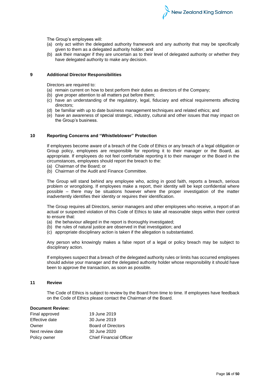

The Group's employees will:

- (a) only act within the delegated authority framework and any authority that may be specifically given to them as a delegated authority holder; and
- (b) ask their manager if they are uncertain as to their level of delegated authority or whether they have delegated authority to make any decision.

#### **9 Additional Director Responsibilities**

Directors are required to:

- (a) remain current on how to best perform their duties as directors of the Company;
- (b) give proper attention to all matters put before them;
- (c) have an understanding of the regulatory, legal, fiduciary and ethical requirements affecting directors;
- (d) be familiar with up to date business management techniques and related ethics; and
- (e) have an awareness of special strategic, industry, cultural and other issues that may impact on the Group's business.

#### **10 Reporting Concerns and "Whistleblower" Protection**

If employees become aware of a breach of the Code of Ethics or any breach of a legal obligation or Group policy, employees are responsible for reporting it to their manager or the Board, as appropriate. If employees do not feel comfortable reporting it to their manager or the Board in the circumstances, employees should report the breach to the:

- (a) Chairman of the Board; or
- (b) Chairman of the Audit and Finance Committee.

The Group will stand behind any employee who, acting in good faith, reports a breach, serious problem or wrongdoing. If employees make a report, their identity will be kept confidential where possible – there may be situations however where the proper investigation of the matter inadvertently identifies their identity or requires their identification.

The Group requires all Directors, senior managers and other employees who receive, a report of an actual or suspected violation of this Code of Ethics to take all reasonable steps within their control to ensure that:

- (a) the behaviour alleged in the report is thoroughly investigated;
- (b) the rules of natural justice are observed in that investigation; and
- (c) appropriate disciplinary action is taken if the allegation is substantiated.

Any person who knowingly makes a false report of a legal or policy breach may be subject to disciplinary action.

If employees suspect that a breach of the delegated authority rules or limits has occurred employees should advise your manager and the delegated authority holder whose responsibility it should have been to approve the transaction, as soon as possible.

#### **11 Review**

The Code of Ethics is subject to review by the Board from time to time. If employees have feedback on the Code of Ethics please contact the Chairman of the Board.

#### **Document Review:**

| Final approved   | 19 June 2019                   |
|------------------|--------------------------------|
| Effective date   | 30 June 2019                   |
| Owner            | <b>Board of Directors</b>      |
| Next review date | 30 June 2020                   |
| Policy owner     | <b>Chief Financial Officer</b> |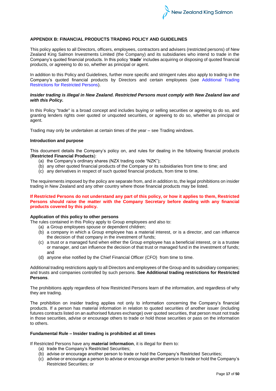

# **APPENDIX B: FINANCIAL PRODUCTS TRADING POLICY AND GUIDELINES**

This policy applies to all Directors, officers, employees, contractors and advisers (restricted persons) of New Zealand King Salmon Investments Limited (the Company) and its subsidiaries who intend to trade in the Company's quoted financial products. In this policy '**trade**' includes acquiring or disposing of quoted financial products, or agreeing to do so, whether as principal or agent.

In addition to this Policy and Guidelines, further more specific and stringent rules also apply to trading in the Company's quoted financial products by Directors and certain employees (see Additional Trading Restrictions for Restricted Persons).

#### *Insider trading is illegal in New Zealand. Restricted Persons must comply with New Zealand law and with this Policy.*

In this Policy "trade" is a broad concept and includes buying or selling securities or agreeing to do so, and granting lenders rights over quoted or unquoted securities, or agreeing to do so, whether as principal or agent.

Trading may only be undertaken at certain times of the year – see Trading windows.

# **Introduction and purpose**

This document details the Company's policy on, and rules for dealing in the following financial products (**Restricted Financial Products**):

- (a) the Company's ordinary shares (NZX trading code "NZK");
- (b) any other quoted financial products of the Company or its subsidiaries from time to time; and
- (c) any derivatives in respect of such quoted financial products, from time to time.

The requirements imposed by the policy are separate from, and in addition to, the legal prohibitions on insider trading in New Zealand and any other country where those financial products may be listed.

#### **If Restricted Persons do not understand any part of this policy, or how it applies to them, Restricted Persons should raise the matter with the Company Secretary before dealing with any financial products covered by this policy.**

#### **Application of this policy to other persons**

The rules contained in this Policy apply to Group employees and also to:

- (a) a Group employees spouse or dependent children;
- (b) a company in which a Group employee has a material interest, or is a director, and can influence the decision of that company in the investment of funds;
- (c) a trust or a managed fund when either the Group employee has a beneficial interest, or is a trustee or manager, and can influence the decision of that trust or managed fund in the investment of funds; and
- (d) anyone else notified by the Chief Financial Officer (CFO) from time to time.

Additional trading restrictions apply to all Directors and employees of the Group and its subsidiary companies; and trusts and companies controlled by such persons. **See Additional trading restrictions for Restricted Persons**.

The prohibitions apply regardless of how Restricted Persons learn of the information, and regardless of why they are trading.

The prohibition on insider trading applies not only to information concerning the Company's financial products. If a person has material information in relation to quoted securities of another issuer (including futures contracts listed on an authorised futures exchange) over quoted securities, that person must not trade in those securities, advise or encourage others to trade or hold those securities or pass on the information to others.

#### **Fundamental Rule – Insider trading is prohibited at all times**

If Restricted Persons have any **material information**, it is illegal for them to:

- (a) trade the Company's Restricted Securities;
- (b) advise or encourage another person to trade or hold the Company's Restricted Securities;
- (c) advise or encourage a person to advise or encourage another person to trade or hold the Company's Restricted Securities; or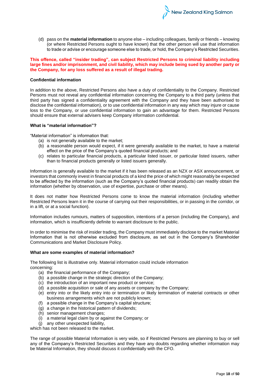(d) pass on the **material information** to anyone else – including colleagues, family or friends – knowing (or where Restricted Persons ought to have known) that the other person will use that information to trade or advise or encourage someone else to trade, or hold, the Company's Restricted Securities.

New Zealand King Salmon

# **This offence, called "insider trading", can subject Restricted Persons to criminal liability including large fines and/or imprisonment, and civil liability, which may include being sued by another party or the Company, for any loss suffered as a result of illegal trading.**

#### **Confidential information**

In addition to the above, Restricted Persons also have a duty of confidentiality to the Company. Restricted Persons must not reveal any confidential information concerning the Company to a third party (unless that third party has signed a confidentiality agreement with the Company and they have been authorised to disclose the confidential information), or to use confidential information in any way which may injure or cause loss to the Company, or use confidential information to gain an advantage for them. Restricted Persons should ensure that external advisers keep Company information confidential.

#### **What is "material information"?**

"Material information" is information that:

- (a) is not generally available to the market;
- (b) a reasonable person would expect, if it were generally available to the market, to have a material effect on the price of the Company's quoted financial products; and
- (c) relates to particular financial products, a particular listed issuer, or particular listed issuers, rather than to financial products generally or listed issuers generally.

Information is generally available to the market if it has been released as an NZX or ASX announcement, or investors that commonly invest in financial products of a kind the price of which might reasonably be expected to be affected by the information (such as the Company's quoted financial products) can readily obtain the information (whether by observation, use of expertise, purchase or other means).

It does not matter how Restricted Persons come to know the material information (including whether Restricted Persons learn it in the course of carrying out their responsibilities, or in passing in the corridor, or in a lift, or at a social function).

Information includes rumours, matters of supposition, intentions of a person (including the Company), and information, which is insufficiently definite to warrant disclosure to the public.

In order to minimise the risk of insider trading, the Company must immediately disclose to the market Material Information that is not otherwise excluded from disclosure, as set out in the Company's Shareholder Communications and Market Disclosure Policy.

#### **What are some examples of material information?**

The following list is illustrative only. Material information could include information concerning:

- (a) the financial performance of the Company;
- (b) a possible change in the strategic direction of the Company;
- (c) the introduction of an important new product or service;
- (d) a possible acquisition or sale of any assets or company by the Company;
- (e) entry into or the likely entry into or termination or likely termination of material contracts or other business arrangements which are not publicly known;
- (f) a possible change in the Company's capital structure;
- (g) a change in the historical pattern of dividends;
- (h) senior management changes;
- (i) a material legal claim by or against the Company; or
- (j) any other unexpected liability,

which has not been released to the market.

The range of possible Material Information is very wide, so if Restricted Persons are planning to buy or sell any of the Company's Restricted Securities and they have any doubts regarding whether information may be Material Information, they should discuss it confidentially with the CFO.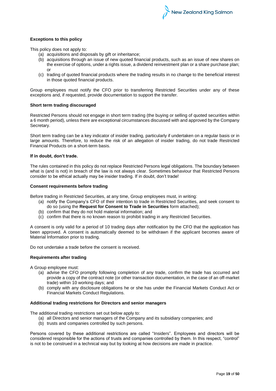### **Exceptions to this policy**

This policy does not apply to:

- (a) acquisitions and disposals by gift or inheritance;
- (b) acquisitions through an issue of new quoted financial products, such as an issue of new shares on the exercise of options, under a rights issue, a dividend reinvestment plan or a share purchase plan; or
- (c) trading of quoted financial products where the trading results in no change to the beneficial interest in those quoted financial products.

Group employees must notify the CFO prior to transferring Restricted Securities under any of these exceptions and, if requested, provide documentation to support the transfer.

#### **Short term trading discouraged**

Restricted Persons should not engage in short term trading (the buying or selling of quoted securities within a 6 month period), unless there are exceptional circumstances discussed with and approved by the Company Secretary.

Short term trading can be a key indicator of insider trading, particularly if undertaken on a regular basis or in large amounts. Therefore, to reduce the risk of an allegation of insider trading, do not trade Restricted Financial Products on a short-term basis.

# **If in doubt, don't trade.**

The rules contained in this policy do not replace Restricted Persons legal obligations. The boundary between what is (and is not) in breach of the law is not always clear. Sometimes behaviour that Restricted Persons consider to be ethical actually may be insider trading. If in doubt, don't trade!

# **Consent requirements before trading**

Before trading in Restricted Securities, at any time, Group employees must, in writing:

- (a) notify the Company's CFO of their intention to trade in Restricted Securities, and seek consent to do so (using the **Request for Consent to Trade in Securities** form attached);
- (b) confirm that they do not hold material information; and
- (c) confirm that there is no known reason to prohibit trading in any Restricted Securities.

A consent is only valid for a period of 10 trading days after notification by the CFO that the application has been approved. A consent is automatically deemed to be withdrawn if the applicant becomes aware of Material Information prior to trading.

Do not undertake a trade before the consent is received.

#### **Requirements after trading**

A Group employee must:

- (a) advise the CFO promptly following completion of any trade, confirm the trade has occurred and provide a copy of the contract note (or other transaction documentation, in the case of an off-market trade) within 10 working days; and
- (b) comply with any disclosure obligations he or she has under the Financial Markets Conduct Act or Financial Markets Conduct Regulations.

#### **Additional trading restrictions for Directors and senior managers**

The additional trading restrictions set out below apply to:

- (a) all Directors and senior managers of the Company and its subsidiary companies; and
- (b) trusts and companies controlled by such persons.

Persons covered by these additional restrictions are called "Insiders". Employees and directors will be considered responsible for the actions of trusts and companies controlled by them. In this respect, "control" is not to be construed in a technical way but by looking at how decisions are made in practice.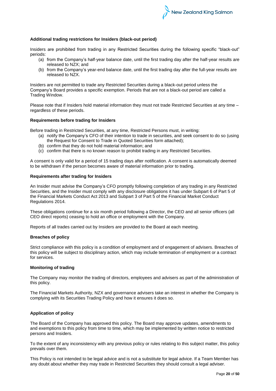

# **Additional trading restrictions for Insiders (black-out period)**

Insiders are prohibited from trading in any Restricted Securities during the following specific "black-out" periods:

- (a) from the Company's half-year balance date, until the first trading day after the half-year results are released to NZX; and
- (b) from the Company's year-end balance date, until the first trading day after the full-year results are released to NZX.

Insiders are not permitted to trade any Restricted Securities during a black-out period unless the Company's Board provides a specific exemption. Periods that are not a black-out period are called a Trading Window.

Please note that if Insiders hold material information they must not trade Restricted Securities at any time – regardless of these periods.

#### **Requirements before trading for Insiders**

Before trading in Restricted Securities, at any time, Restricted Persons must, in writing:

- (a) notify the Company's CFO of their intention to trade in securities, and seek consent to do so (using the Request for Consent to Trade in Quoted Securities form attached);
- (b) confirm that they do not hold material information; and
- (c) confirm that there is no known reason to prohibit trading in any Restricted Securities.

A consent is only valid for a period of 15 trading days after notification. A consent is automatically deemed to be withdrawn if the person becomes aware of material information prior to trading.

#### **Requirements after trading for Insiders**

An Insider must advise the Company's CFO promptly following completion of any trading in any Restricted Securities, and the Insider must comply with any disclosure obligations it has under Subpart 6 of Part 5 of the Financial Markets Conduct Act 2013 and Subpart 3 of Part 5 of the Financial Market Conduct Regulations 2014.

These obligations continue for a six month period following a Director, the CEO and all senior officers (all CEO direct reports) ceasing to hold an office or employment with the Company.

Reports of all trades carried out by Insiders are provided to the Board at each meeting.

# **Breaches of policy**

Strict compliance with this policy is a condition of employment and of engagement of advisers. Breaches of this policy will be subject to disciplinary action, which may include termination of employment or a contract for services.

# **Monitoring of trading**

The Company may monitor the trading of directors, employees and advisers as part of the administration of this policy.

The Financial Markets Authority, NZX and governance advisers take an interest in whether the Company is complying with its Securities Trading Policy and how it ensures it does so.

#### **Application of policy**

The Board of the Company has approved this policy. The Board may approve updates, amendments to and exemptions to this policy from time to time, which may be implemented by written notice to restricted persons and Insiders.

To the extent of any inconsistency with any previous policy or rules relating to this subject matter, this policy prevails over them.

This Policy is not intended to be legal advice and is not a substitute for legal advice. If a Team Member has any doubt about whether they may trade in Restricted Securities they should consult a legal adviser.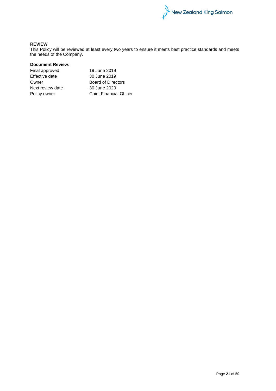

# **REVIEW**

This Policy will be reviewed at least every two years to ensure it meets best practice standards and meets the needs of the Company.

# **Document Review:**

| Final approved   | 19 June 2019                   |
|------------------|--------------------------------|
| Effective date   | 30 June 2019                   |
| Owner            | <b>Board of Directors</b>      |
| Next review date | 30 June 2020                   |
| Policy owner     | <b>Chief Financial Officer</b> |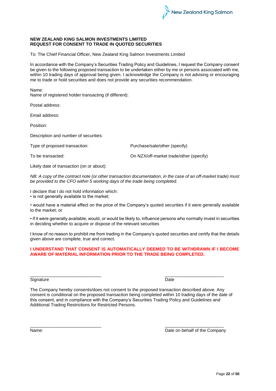

# **NEW ZEALAND KING SALMON INVESTMENTS LIMITED REQUEST FOR CONSENT TO TRADE IN QUOTED SECURITIES**

To: The Chief Financial Officer, New Zealand King Salmon Investments Limited

In accordance with the Company's Securities Trading Policy and Guidelines, I request the Company consent be given to the following proposed transaction to be undertaken either by me or persons associated with me, within 10 trading days of approval being given. I acknowledge the Company is not advising or encouraging me to trade or hold securities and does not provide any securities recommendation.

Name:

Name of registered holder transacting (if different):

Postal address:

Email address:

Position:

Description and number of securities:

Type of proposed transaction: Purchase/sale/other (specify)

To be transacted: On NZX/off-market trade/other (specify)

Likely date of transaction (on or about):

*NB: A copy of the contract note (or other transaction documentation, in the case of an off-market trade) must be provided to the CFO within 5 working days of the trade being completed.* 

I declare that I do not hold information which:

• is not generally available to the market;

• would have a material effect on the price of the Company's quoted securities if it were generally available to the market; or

• if it were generally available, would, or would be likely to, influence persons who normally invest in securities in deciding whether to acquire or dispose of the relevant securities

I know of no reason to prohibit me from trading in the Company's quoted securities and certify that the details given above are complete, true and correct.

# **I UNDERSTAND THAT CONSENT IS AUTOMATICALLY DEEMED TO BE WITHDRAWN IF I BECOME AWARE OF MATERIAL INFORMATION PRIOR TO THE TRADE BEING COMPLETED.**

#### \_\_\_\_\_\_\_\_\_\_\_\_\_\_\_\_\_\_\_\_\_\_\_\_\_\_\_\_\_ \_\_\_\_\_\_\_\_\_\_\_\_\_\_\_\_\_\_\_\_\_\_\_\_ Signature Date

The Company hereby consents/does not consent to the proposed transaction described above. Any consent is conditional on the proposed transaction being completed within 10 trading days of the date of this consent, and in compliance with the Company's Securities Trading Policy and Guidelines and Additional Trading Restrictions for Restricted Persons.

\_\_\_\_\_\_\_\_\_\_\_\_\_\_\_\_\_\_\_\_\_\_\_\_\_\_\_\_\_ \_\_\_\_\_\_\_\_\_\_\_\_\_\_\_\_\_\_\_\_\_\_\_\_

Name: Name: Name: Name: Name: Name: Name: Name: Name: Name: Name: Name: Name: Name: Name: Name: Name: Name: Name: Name: Name: Name: Name: Name: Name: Name: Name: Name: Name: Name: Name: Name: Name: Name: Name: Name: Name: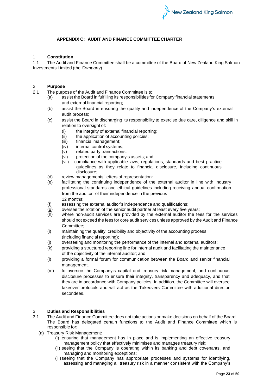# **APPENDIX C: AUDIT AND FINANCE COMMITTEE CHARTER**

# 1 **Constitution**

1.1 The Audit and Finance Committee shall be a committee of the Board of New Zealand King Salmon Investments Limited (the *Company*).

# 2 **Purpose**

- The purpose of the Audit and Finance Committee is to:
	- assist the Board in fulfilling its responsibilities for Company financial statements and external financial reporting;
	- (b) assist the Board in ensuring the quality and independence of the Company's external audit process;
	- (c) assist the Board in discharging its responsibility to exercise due care, diligence and skill in relation to oversight of:
		- (i) the integrity of external financial reporting;
		- (ii) the application of accounting policies;
		- (iii) financial management;<br>(iv) internal control systems
		-
		- (iv) internal control systems;<br>(v) related party transactions
		- (v) related party transactions;<br>(vi) protection of the company' protection of the company's assets; and
		- (vii) compliance with applicable laws, regulations, standards and best practice guidelines as they relate to financial disclosure, including continuous disclosure;
	- (d) review managements' letters of representation:
	- (e) facilitating the continuing independence of the external auditor in line with industry professional standards and ethical guidelines including receiving annual confirmation from the auditor of their independence in the previous 12 months;
	- (f) assessing the external auditor's independence and qualifications;
	- (g) oversee the rotation of the senior audit partner at least every five years;
	- (h) where non-audit services are provided by the external auditor the fees for the services should not exceed the fees for core audit services unless approved by the Audit and Finance Committee;
	- (i) maintaining the quality, credibility and objectivity of the accounting process (including financial reporting);
	- (j) overseeing and monitoring the performance of the internal and external auditors;
	- (k) providing a structured reporting line for internal audit and facilitating the maintenance of the objectivity of the internal auditor; and
	- (l) providing a formal forum for communication between the Board and senior financial management.
	- (m) to oversee the Company's capital and treasury risk management, and continuous disclosure processes to ensure their integrity, transparency and adequacy, and that they are in accordance with Company policies. In addition, the Committee will oversee takeover protocols and will act as the Takeovers Committee with additional director secondees.

# 3 **Duties and Responsibilities**

- 3.1 The Audit and Finance Committee does not take actions or make decisions on behalf of the Board. The Board has delegated certain functions to the Audit and Finance Committee which is responsible for:
	- (a) Treasury Risk Management:
		- (i) ensuring that management has in place and is implementing an effective treasury management policy that effectively minimises and manages treasury risk;
		- (ii) seeing that the Company is operating within its banking and debt covenants, and managing and monitoring exceptions;
		- (iii) seeing that the Company has appropriate processes and systems for identifying, assessing and managing all treasury risk in a manner consistent with the Company's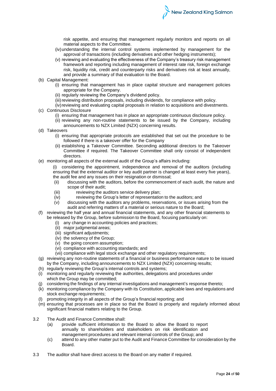risk appetite, and ensuring that management regularly monitors and reports on all material aspects to the Committee.

- (iv)understanding the internal control systems implemented by management for the approval of transactions (including derivatives and other hedging instruments);
- (v) reviewing and evaluating the effectiveness of the Company's treasury risk management framework and reporting including management of interest rate risk, foreign exchange risk, liquidity risk, credit and counterparty risks and derivatives risk at least annually, and provide a summary of that evaluation to the Board.
- (b) Capital Management:
	- (i) ensuring that management has in place capital structure and management policies appropriate for the Company.
	- (ii) regularly reviewing the Company's dividend policy.
	- (iii) reviewing distribution proposals, including dividends, for compliance with policy.
- (iv) reviewing and evaluating capital proposals in relation to acquisitions and divestments. (c) Continuous Disclosure
	- (i) ensuring that management has in place an appropriate continuous disclosure policy.
	- (ii) reviewing any non-routine statements to be issued by the Company, including announcements to NZX Limited (NZX) concerning results.
- (d) Takeovers
	- (i) ensuring that appropriate protocols are established that set out the procedure to be followed if there is a takeover offer for the Company
	- (ii) establishing a Takeover Committee. Seconding additional directors to the Takeover Committee if required. The Takeover Committee shall only consist of independent directors.
- (e) monitoring all aspects of the external audit of the Group's affairs including:
	- (i) considering the appointment, independence and removal of the auditors (including ensuring that the external auditor or key audit partner is changed at least every five years), the audit fee and any issues on their resignation or dismissal;
	- (ii) discussing with the auditors, before the commencement of each audit, the nature and scope of their audit;
	- (iii) reviewing the auditors service delivery plan;<br>(iv) reviewing the Group's letter of representation
	- reviewing the Group's letter of representation to the auditors; and
	- (v) discussing with the auditors any problems, reservations, or issues arising from the audit and referring matters of a material or serious nature to the Board;
- (f) reviewing the half year and annual financial statements, and any other financial statements to be released by the Group, before submission to the Board, focusing particularly on:
	- (i) any change in accounting policies and practices;
	- (ii) major judgmental areas;
	- (iii) significant adjustments;
	- (iv) the solvency of the Group;
	- (v) the going concern assumption;
	- (vi) compliance with accounting standards; and
	- (vii) compliance with legal stock exchange and other regulatory requirements;
- (g) reviewing any non-routine statements of a financial or business performance nature to be issued by the Company, including announcements to NZX Limited (NZX) concerning results;
- (h) regularly reviewing the Group's internal controls and systems;
- (i) monitoring and regularly reviewing the authorities, delegations and procedures under which the Group may be committed;
- (j) considering the findings of any internal investigations and management's response thereto;
- (k) monitoring compliance by the Company with its Constitution, applicable laws and regulations and stock exchange requirements;
- (l) promoting integrity in all aspects of the Group's financial reporting; and
- (m) ensuring that processes are in place so that the Board is properly and regularly informed about significant financial matters relating to the Group.
- 3.2 The Audit and Finance Committee shall:
	- (a) provide sufficient information to the Board to allow the Board to report annually to shareholders and stakeholders on risk identification and management procedures and relevant internal controls of the Group; and
	- (c) attend to any other matter put to the Audit and Finance Committee for consideration by the Board.
- 3.3 The auditor shall have direct access to the Board on any matter if required.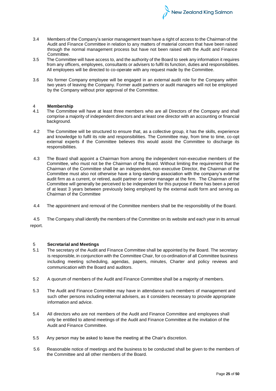3.4 Members of the Company's senior management team have a right of access to the Chairman of the Audit and Finance Committee in relation to any matters of material concern that have been raised through the normal management process but have not been raised with the Audit and Finance Committee.

New Zealand King Salmon

- 3.5 The Committee will have access to, and the authority of the Board to seek any information it requires from any officers, employees, consultants or advisers to fulfil its function, duties and responsibilities. All employees will be directed to co-operate with any request made by the Committee.
- 3.6 No former Company employee will be engaged in an external audit role for the Company within two years of leaving the Company. Former audit partners or audit managers will not be employed by the Company without prior approval of the Committee.

# 4 **Membership**

- The Committee will have at least three members who are all Directors of the Company and shall comprise a majority of independent directors and at least one director with an accounting or financial background.
- 4.2 The Committee will be structured to ensure that, as a collective group, it has the skills, experience and knowledge to fulfil its role and responsibilities. The Committee may, from time to time, co-opt external experts if the Committee believes this would assist the Committee to discharge its responsibilities.
- 4.3 The Board shall appoint a Chairman from among the independent non-executive members of the Committee, who must not be the Chairman of the Board. Without limiting the requirement that the Chairman of the Committee shall be an independent, non-executive Director, the Chairman of the Committee must also not otherwise have a long-standing association with the company's external audit firm as a current, or retired, audit partner or senior manager at the firm. The Chairman of the Committee will generally be perceived to be independent for this purpose if there has been a period of at least 3 years between previously being employed by the external audit form and serving as Chairman of the Committee
- 4.4 The appointment and removal of the Committee members shall be the responsibility of the Board.

4.5 The Company shall identify the members of the Committee on its website and each year in its annual report.

# 5 **Secretarial and Meetings**

- 5.1 The secretary of the Audit and Finance Committee shall be appointed by the Board. The secretary is responsible, in conjunction with the Committee Chair, for co-ordination of all Committee business including meeting scheduling, agendas, papers, minutes, Charter and policy reviews and communication with the Board and auditors.
- 5.2 A quorum of members of the Audit and Finance Committee shall be a majority of members.
- 5.3 The Audit and Finance Committee may have in attendance such members of management and such other persons including external advisers, as it considers necessary to provide appropriate information and advice.
- 5.4 All directors who are not members of the Audit and Finance Committee and employees shall only be entitled to attend meetings of the Audit and Finance Committee at the invitation of the Audit and Finance Committee.
- 5.5 Any person may be asked to leave the meeting at the Chair's discretion.
- 5.6 Reasonable notice of meetings and the business to be conducted shall be given to the members of the Committee and all other members of the Board.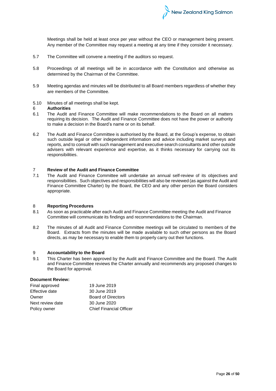

Meetings shall be held at least once per year without the CEO or management being present. Any member of the Committee may request a meeting at any time if they consider it necessary.

- 5.7 The Committee will convene a meeting if the auditors so request.
- 5.8 Proceedings of all meetings will be in accordance with the Constitution and otherwise as determined by the Chairman of the Committee.
- 5.9 Meeting agendas and minutes will be distributed to all Board members regardless of whether they are members of the Committee.
- 5.10 Minutes of all meetings shall be kept.

#### 6 **Authorities**

- 6.1 The Audit and Finance Committee will make recommendations to the Board on all matters requiring its decision. The Audit and Finance Committee does not have the power or authority to make a decision in the Board's name or on its behalf.
- 6.2 The Audit and Finance Committee is authorised by the Board, at the Group's expense, to obtain such outside legal or other independent information and advice including market surveys and reports, and to consult with such management and executive search consultants and other outside advisers with relevant experience and expertise, as it thinks necessary for carrying out its responsibilities.

# 7 **Review of the Audit and Finance Committee**

7.1 The Audit and Finance Committee will undertake an annual self-review of its objectives and responsibilities. Such objectives and responsibilities will also be reviewed (as against the Audit and Finance Committee Charter) by the Board, the CEO and any other person the Board considers appropriate.

# 8 **Reporting Procedures**

- 8.1 As soon as practicable after each Audit and Finance Committee meeting the Audit and Finance Committee will communicate its findings and recommendations to the Chairman.
- 8.2 The minutes of all Audit and Finance Committee meetings will be circulated to members of the Board. Extracts from the minutes will be made available to such other persons as the Board directs, as may be necessary to enable them to properly carry out their functions.

### 9 **Accountability to the Board**

9.1 This Charter has been approved by the Audit and Finance Committee and the Board. The Audit and Finance Committee reviews the Charter annually and recommends any proposed changes to the Board for approval.

# **Document Review:**

| Final approved   | 19 June 2019                   |
|------------------|--------------------------------|
| Effective date   | 30 June 2019                   |
| Owner            | <b>Board of Directors</b>      |
| Next review date | 30 June 2020                   |
| Policy owner     | <b>Chief Financial Officer</b> |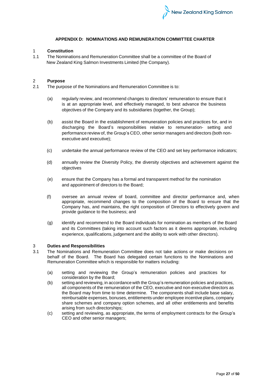

# **APPENDIX D: NOMINATIONS AND REMUNERATION COMMITTEE CHARTER**

# 1 **Constitution**

1.1 The Nominations and Remuneration Committee shall be a committee of the Board of New Zealand King Salmon Investments Limited (the Company).

# 2 **Purpose**

- 2.1 The purpose of the Nominations and Remuneration Committee is to:
	- (a) regularly review, and recommend changes to directors' remuneration to ensure that it is at an appropriate level, and effectively managed, to best advance the business objectives of the Company and its subsidiaries (together, the Group);
	- (b) assist the Board in the establishment of remuneration policies and practices for, and in discharging the Board's responsibilities relative to remuneration- setting and performance review of, the Group's CEO, other senior managers and directors (both nonexecutive and executive);
	- (c) undertake the annual performance review of the CEO and set key performance indicators;
	- (d) annually review the Diversity Policy, the diversity objectives and achievement against the objectives
	- (e) ensure that the Company has a formal and transparent method for the nomination and appointment of directors to the Board;
	- (f) oversee an annual review of board, committee and director performance and, when appropriate, recommend changes to the composition of the Board to ensure that the Company has, and maintains, the right composition of Directors to effectively govern and provide guidance to the business; and
	- (g) identify and recommend to the Board individuals for nomination as members of the Board and its Committees (taking into account such factors as it deems appropriate, including experience, qualifications, judgement and the ability to work with other directors).

#### 3 **Duties and Responsibilities**

- 3.1 The Nominations and Remuneration Committee does not take actions or make decisions on behalf of the Board. The Board has delegated certain functions to the Nominations and Remuneration Committee which is responsible for matters including:
	- (a) setting and reviewing the Group's remuneration policies and practices for consideration by the Board;
	- (b) setting and reviewing, in accordance with the Group's remuneration policies and practices, all components of the remuneration of the CEO, executive and non-executive directors as the Board may from time to time determine. The components shall include base salary, reimbursable expenses, bonuses, entitlements under employee incentive plans, company share schemes and company option schemes, and all other entitlements and benefits arising from such directorships;
	- (c) setting and reviewing, as appropriate, the terms of employment contracts for the Group's CEO and other senior managers;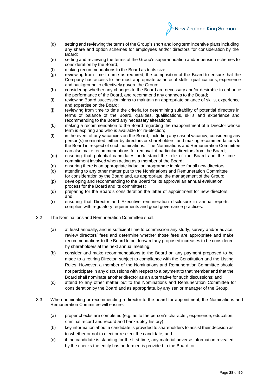

- (d) setting and reviewing the terms of the Group's short and long term incentive plans including any share and option schemes for employees and/or directors for consideration by the Board;
- (e) setting and reviewing the terms of the Group's superannuation and/or pension schemes for consideration by the Board;
- (f) making recommendations to the Board as to its size;
- (g) reviewing from time to time as required, the composition of the Board to ensure that the Company has access to the most appropriate balance of skills, qualifications, experience and background to effectively govern the Group;
- (h) considering whether any changes to the Board are necessary and/or desirable to enhance the performance of the Board, and recommend any changes to the Board;
- (i) reviewing Board succession plans to maintain an appropriate balance of skills, experience and expertise on the Board;
- (j) reviewing from time to time the criteria for determining suitability of potential directors in terms of balance of the Board, qualities, qualifications, skills and experience and recommending to the Board any necessary alterations;
- (k) making a recommendation to the Board regarding the reappointment of a Director whose term is expiring and who is available for re-election;
- (l) in the event of any vacancies on the Board, including any casual vacancy, considering any person(s) nominated, either by directors or shareholders, and making recommendations to the Board in respect of such nominations. The Nominations and Remuneration Committee can also make recommendations for removal of particular directors from the Board;
- (m) ensuring that potential candidates understand the role of the Board and the time commitment involved when acting as a member of the Board;
- (n) ensuring there is an appropriate induction programme in place for all new directors;
- (o) attending to any other matter put to the Nominations and Remuneration Committee for consideration by the Board and, as appropriate, the management of the Group;
- (p) developing and recommending to the Board for its approval an annual evaluation process for the Board and its committees;
- (q) preparing for the Board's consideration the letter of appointment for new directors; and
- (r) ensuring that Director and Executive remuneration disclosure in annual reports complies with regulatory requirements and good governance practices.
- 3.2 The Nominations and Remuneration Committee shall:
	- (a) at least annually, and in sufficient time to commission any study, survey and/or advice, review directors' fees and determine whether those fees are appropriate and make recommendations to the Board to put forward any proposed increases to be considered by shareholders at the next annual meeting;
	- (b) consider and make recommendations to the Board on any payment proposed to be made to a retiring Director, subject to compliance with the Constitution and the Listing Rules. However, a member of the Nominations and Remuneration Committee should not participate in any discussions with respect to a payment to that member and that the Board shall nominate another director as an alternative for such discussions; and
	- (c) attend to any other matter put to the Nominations and Remuneration Committee for consideration by the Board and as appropriate, by any senior manager of the Group.
- 3.3 When nominating or recommending a director to the board for appointment, the Nominations and Remuneration Committee will ensure:
	- (a) proper checks are completed (e.g. as to the person's character, experience, education, criminal record and record and bankruptcy history);
	- (b) key information about a candidate is provided to shareholders to assist their decision as to whether or not to elect or re-elect the candidate; and
	- (c) if the candidate is standing for the first time, any material adverse information revealed by the checks the entity has performed is provided to the Board; or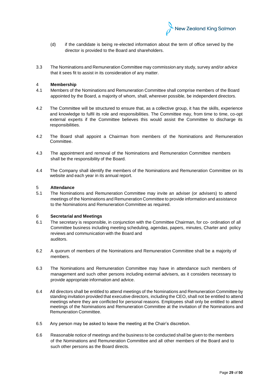

- (d) if the candidate is being re-elected information about the term of office served by the director is provided to the Board and shareholders.
- 3.3 The Nominations and Remuneration Committee may commission any study, survey and/or advice that it sees fit to assist in its consideration of any matter.

#### 4 **Membership**

- 4.1 Members of the Nominations and Remuneration Committee shall comprise members of the Board appointed by the Board, a majority of whom, shall, wherever possible, be independent directors.
- 4.2 The Committee will be structured to ensure that, as a collective group, it has the skills, experience and knowledge to fulfil its role and responsibilities. The Committee may, from time to time, co-opt external experts if the Committee believes this would assist the Committee to discharge its responsibilities.
- 4.2 The Board shall appoint a Chairman from members of the Nominations and Remuneration Committee.
- 4.3 The appointment and removal of the Nominations and Remuneration Committee members shall be the responsibility of the Board.
- 4.4 The Company shall identify the members of the Nominations and Remuneration Committee on its website and each year in its annual report.

#### 5 **Attendance**

5.1 The Nominations and Remuneration Committee may invite an adviser (or advisers) to attend meetings of the Nominations and Remuneration Committee to provide information and assistance to the Nominations and Remuneration Committee as required.

#### 6 **Secretarial and Meetings**

- 6.1 The secretary is responsible, in conjunction with the Committee Chairman, for co- ordination of all Committee business including meeting scheduling, agendas, papers, minutes, Charter and policy reviews and communication with the Board and auditors.
- 6.2 A quorum of members of the Nominations and Remuneration Committee shall be a majority of members.
- 6.3 The Nominations and Remuneration Committee may have in attendance such members of management and such other persons including external advisers, as it considers necessary to provide appropriate information and advice.
- 6.4 All directors shall be entitled to attend meetings of the Nominations and Remuneration Committee by standing invitation provided that executive directors, including the CEO, shall not be entitled to attend meetings where they are conflicted for personal reasons. Employees shall only be entitled to attend meetings of the Nominations and Remuneration Committee at the invitation of the Nominations and Remuneration Committee.
- 6.5 Any person may be asked to leave the meeting at the Chair's discretion.
- 6.6 Reasonable notice of meetings and the business to be conducted shall be given to the members of the Nominations and Remuneration Committee and all other members of the Board and to such other persons as the Board directs.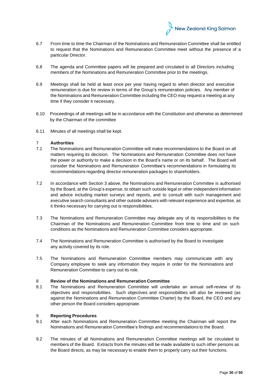

- 6.7 From time to time the Chairman of the Nominations and Remuneration Committee shall be entitled to request that the Nominations and Remuneration Committee meet without the presence of a particular Director.
- 6.8 The agenda and Committee papers will be prepared and circulated to all Directors including members of the Nominations and Remuneration Committee prior to the meetings.
- 6.9 Meetings shall be held at least once per year having regard to when director and executive remuneration is due for review in terms of the Group's remuneration policies. Any member of the Nominations and Remuneration Committee including the CEO may request a meeting at any time if they consider it necessary.
- 6.10 Proceedings of all meetings will be in accordance with the Constitution and otherwise as determined by the Chairman of the committee
- 6.11 Minutes of all meetings shall be kept.

# 7 **Authorities**

- 7.1 The Nominations and Remuneration Committee will make recommendations to the Board on all matters requiring its decision. The Nominations and Remuneration Committee does not have the power or authority to make a decision in the Board's name or on its behalf. The Board will consider the Nominations and Remuneration Committee's recommendations in formulating its recommendations regarding director remuneration packages to shareholders.
- 7.2 In accordance with Section 3 above, the Nominations and Remuneration Committee is authorised by the Board, at the Group's expense, to obtain such outside legal or other independent information and advice including market surveys and reports, and to consult with such management and executive search consultants and other outside advisers with relevant experience and expertise, as it thinks necessary for carrying out is responsibilities.
- 7.3 The Nominations and Remuneration Committee may delegate any of its responsibilities to the Chairman of the Nominations and Remuneration Committee from time to time and on such conditions as the Nominations and Remuneration Committee considers appropriate.
- 7.4 The Nominations and Remuneration Committee is authorised by the Board to investigate any activity covered by its role.
- 7.5 The Nominations and Remuneration Committee members may communicate with any Company employee to seek any information they require in order for the Nominations and Remuneration Committee to carry out its role.

# 8 **Review of the Nominations and Remuneration Committee**

8.1 The Nominations and Remuneration Committee will undertake an annual self-review of its objectives and responsibilities. Such objectives and responsibilities will also be reviewed (as against the Nominations and Remuneration Committee Charter) by the Board, the CEO and any other person the Board considers appropriate.

# 9 **Reporting Procedures**

- 9.1 After each Nominations and Remuneration Committee meeting the Chairman will report the Nominations and Remuneration Committee's findings and recommendations to the Board.
- 9.2 The minutes of all Nominations and Remuneration Committee meetings will be circulated to members of the Board. Extracts from the minutes will be made available to such other persons as the Board directs, as may be necessary to enable them to properly carry out their functions.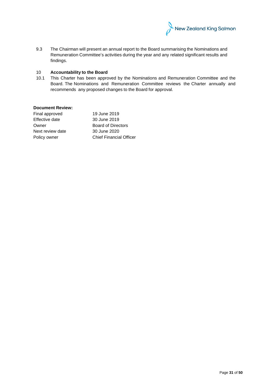

9.3 The Chairman will present an annual report to the Board summarising the Nominations and Remuneration Committee's activities during the year and any related significant results and findings.

# 10 **Accountability to the Board**

10.1 This Charter has been approved by the Nominations and Remuneration Committee and the Board. The Nominations and Remuneration Committee reviews the Charter annually and recommends any proposed changes to the Board for approval.

# **Document Review:**

| Final approved   | 19 June 2019                   |
|------------------|--------------------------------|
| Effective date   | 30 June 2019                   |
| Owner            | <b>Board of Directors</b>      |
| Next review date | 30 June 2020                   |
| Policy owner     | <b>Chief Financial Officer</b> |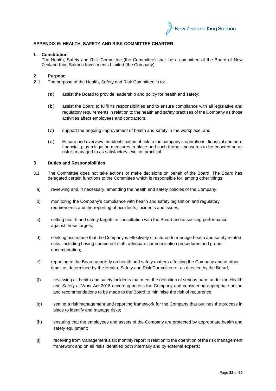

# **APPENDIX E: HEALTH, SAFETY AND RISK COMMITTEE CHARTER**

# **1 Constitution**

The Health, Safety and Risk Committee (the Committee) shall be a committee of the Board of New Zealand King Salmon Investments Limited (the Company).

# 2 **Purpose**

- 2.1 The purpose of the Health, Safety and Risk Committee is to:
	- (a) assist the Board to provide leadership and policy for health and safety;
	- (b) assist the Board to fulfil its responsibilities and to ensure compliance with all legislative and regulatory requirements in relation to the health and safety practises of the Company as those activities affect employees and contractors;
	- (c) support the ongoing improvement of health and safety in the workplace; and
	- (d) Ensure and overview the identification of risk to the company's operations, financial and nonfinancial, plus mitigation measures in place and such further measures to be enacted so as risk is managed to as satisfactory level as practical.

#### 3 **Duties and Responsibilities**

- 3.1 The Committee does not take actions or make decisions on behalf of the Board. The Board has delegated certain functions to the Committee which is responsible for, among other things:
	- a) reviewing and, if necessary, amending the health and safety policies of the Company;
	- b) monitoring the Company's compliance with health and safety legislation and regulatory requirements and the reporting of accidents, incidents and issues;
	- c) setting health and safety targets in consultation with the Board and assessing performance against those targets;
	- d) seeking assurance that the Company is effectively structured to manage health and safety related risks, including having competent staff, adequate communication procedures and proper documentation;
	- e) reporting to the Board quarterly on health and safety matters affecting the Company and at other times as determined by the Health, Safety and Risk Committee or as directed by the Board;
	- (f) reviewing all health and safety incidents that meet the definition of serious harm under the Health and Safety at Work Act 2015 occurring across the Company and considering appropriate action and recommendations to be made to the Board to minimise the risk of recurrence;
	- (g) setting a risk management and reporting framework for the Company that outlines the process in place to identify and manage risks;
	- (h) ensuring that the employees and assets of the Company are protected by appropriate health and safety equipment;
	- (i) receiving from Management a six monthly report in relation to the operation of the risk management framework and on all risks identified both internally and by external experts;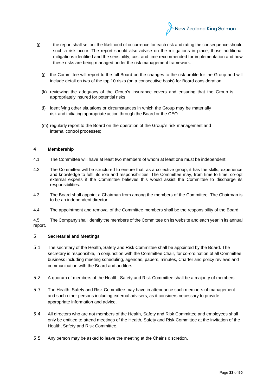

- (j) the report shall set out the likelihood of occurrence for each risk and rating the consequence should such a risk occur. The report should also advise on the mitigations in place, those additional mitigations identified and the sensibility, cost and time recommended for implementation and how these risks are being managed under the risk management framework.
	- (j) the Committee will report to the full Board on the changes to the risk profile for the Group and will include detail on two of the top 10 risks (on a consecutive basis) for Board consideration.
	- (k) reviewing the adequacy of the Group's insurance covers and ensuring that the Group is appropriately insured for potential risks;
	- (l) identifying other situations or circumstances in which the Group may be materially risk and initiating appropriate action through the Board or the CEO.
	- (m) regularly report to the Board on the operation of the Group's risk management and internal control processes;

# 4 **Membership**

- 4.1 The Committee will have at least two members of whom at least one must be independent.
- 4.2 The Committee will be structured to ensure that, as a collective group, it has the skills, experience and knowledge to fulfil its role and responsibilities. The Committee may, from time to time, co-opt external experts if the Committee believes this would assist the Committee to discharge its responsibilities.
- 4.3 The Board shall appoint a Chairman from among the members of the Committee. The Chairman is to be an independent director.
- 4.4 The appointment and removal of the Committee members shall be the responsibility of the Board.

4.5 The Company shall identify the members of the Committee on its website and each year in its annual report.

# 5 **Secretarial and Meetings**

- 5.1 The secretary of the Health, Safety and Risk Committee shall be appointed by the Board. The secretary is responsible, in conjunction with the Committee Chair, for co-ordination of all Committee business including meeting scheduling, agendas, papers, minutes, Charter and policy reviews and communication with the Board and auditors.
- 5.2 A quorum of members of the Health, Safety and Risk Committee shall be a majority of members.
- 5.3 The Health, Safety and Risk Committee may have in attendance such members of management and such other persons including external advisers, as it considers necessary to provide appropriate information and advice.
- 5.4 All directors who are not members of the Health, Safety and Risk Committee and employees shall only be entitled to attend meetings of the Health, Safety and Risk Committee at the invitation of the Health, Safety and Risk Committee.
- 5.5 Any person may be asked to leave the meeting at the Chair's discretion.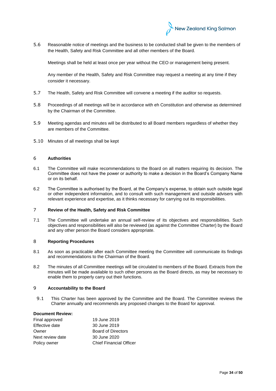

5.6 Reasonable notice of meetings and the business to be conducted shall be given to the members of the Health, Safety and Risk Committee and all other members of the Board.

Meetings shall be held at least once per year without the CEO or management being present.

Any member of the Health, Safety and Risk Committee may request a meeting at any time if they consider it necessary.

- 5.7 The Health, Safety and Risk Committee will convene a meeting if the auditor so requests.
- 5.8 Proceedings of all meetings will be in accordance with eh Constitution and otherwise as determined by the Chairman of the Committee.
- 5.9 Meeting agendas and minutes will be distributed to all Board members regardless of whether they are members of the Committee.
- 5.10 Minutes of all meetings shall be kept

# 6 **Authorities**

- 6.1 The Committee will make recommendations to the Board on all matters requiring its decision. The Committee does not have the power or authority to make a decision in the Board's Company Name or on its behalf.
- 6.2 The Committee is authorised by the Board, at the Company's expense, to obtain such outside legal or other independent information, and to consult with such management and outside advisers with relevant experience and expertise, as it thinks necessary for carrying out its responsibilities.

#### 7 **Review of the Health, Safety and Risk Committee**

7.1 The Committee will undertake an annual self-review of its objectives and responsibilities. Such objectives and responsibilities will also be reviewed (as against the Committee Charter) by the Board and any other person the Board considers appropriate.

# 8 **Reporting Procedures**

- 8.1 As soon as practicable after each Committee meeting the Committee will communicate its findings and recommendations to the Chairman of the Board.
- 8.2 The minutes of all Committee meetings will be circulated to members of the Board. Extracts from the minutes will be made available to such other persons as the Board directs, as may be necessary to enable them to properly carry out their functions.

#### 9 **Accountability to the Board**

9.1 This Charter has been approved by the Committee and the Board. The Committee reviews the Charter annually and recommends any proposed changes to the Board for approval.

#### **Document Review:**

| Final approved   | 19 June 2019                   |
|------------------|--------------------------------|
| Effective date   | 30 June 2019                   |
| Owner            | <b>Board of Directors</b>      |
| Next review date | 30 June 2020                   |
| Policy owner     | <b>Chief Financial Officer</b> |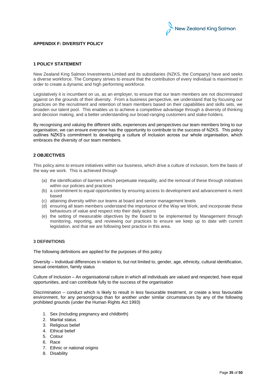

# **APPENDIX F: DIVERSITY POLICY**

# **1 POLICY STATEMENT**

New Zealand King Salmon Investments Limited and its subsidiaries (NZKS, the Company) have and seeks a diverse workforce. The Company strives to ensure that the contribution of every individual is maximised in order to create a dynamic and high performing workforce.

Legislatively it is incumbent on us, as an employer, to ensure that our team members are not discriminated against on the grounds of their diversity. From a business perspective, we understand that by focusing our practices on the recruitment and retention of team members based on their capabilities and skills sets, we broaden our talent pool. This enables us to achieve a competitive advantage through a diversity of thinking and decision making, and a better understanding our broad-ranging customers and stake-holders.

By recognising and valuing the different skills, experiences and perspectives our team members bring to our organisation, we can ensure everyone has the opportunity to contribute to the success of NZKS. This policy outlines NZKS's commitment to developing a culture of inclusion across our whole organisation, which embraces the diversity of our team members.

# **2 OBJECTIVES**

This policy aims to ensure initiatives within our business, which drive a culture of inclusion, form the basis of the way we work. This is achieved through

- (a) the identification of barriers which perpetuate inequality, and the removal of these through initiatives within our policies and practices
- (b) a commitment to equal opportunities by ensuring access to development and advancement is merit based
- (c) attaining diversity within our teams at board and senior management levels
- (d) ensuring all team members understand the importance of the Way we Work, and incorporate these behaviours of value and respect into their daily actions
- (e) the setting of measurable objectives by the Board to be implemented by Management through monitoring, reporting, and reviewing our practices to ensure we keep up to date with current legislation, and that we are following best practice in this area.

# **3 DEFINITIONS**

The following definitions are applied for the purposes of this policy

Diversity – Individual differences in relation to, but not limited to, gender, age, ethnicity, cultural identification, sexual orientation, family status

Culture of Inclusion – An organisational culture in which all individuals are valued and respected, have equal opportunities, and can contribute fully to the success of the organisation

Discrimination – conduct which is likely to result in less favourable treatment, or create a less favourable environment, for any person/group than for another under similar circumstances by any of the following prohibited grounds (under the Human Rights Act 1993)

- 1. Sex (including pregnancy and childbirth)
- 2. Marital status
- 3. Religious belief
- 4. Ethical belief
- 5. Colour
- 6. [Race](https://en.wikipedia.org/wiki/Race_(human_classification))
- 7. [Ethnic](https://en.wikipedia.org/wiki/Ethnic_group) or national origins
- 8. [Disability](https://en.wikipedia.org/wiki/Disability)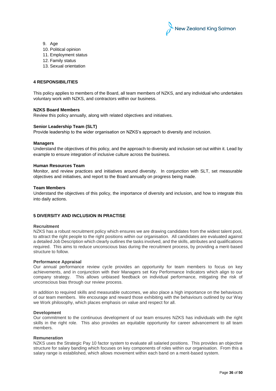

- 9. Age
- 10. [Political opinion](https://en.wikipedia.org/wiki/Freedom_of_thought)
- 11. [Employment](https://en.wikipedia.org/wiki/Employment) status
- 12. Family status
- 13. [Sexual orientation](https://en.wikipedia.org/wiki/Sexual_orientation)

# **4 RESPONSIBILITIES**

This policy applies to members of the Board, all team members of NZKS, and any individual who undertakes voluntary work with NZKS, and contractors within our business.

### **NZKS Board Members**

Review this policy annually, along with related objectives and initiatives.

# **Senior Leadership Team (SLT)**

Provide leadership to the wider organisation on NZKS's approach to diversity and inclusion.

#### **Managers**

Understand the objectives of this policy, and the approach to diversity and inclusion set out within it. Lead by example to ensure integration of inclusive culture across the business.

#### **Human Resources Team**

Monitor, and review practices and initiatives around diversity. In conjunction with SLT, set measurable objectives and initiatives, and report to the Board annually on progress being made.

#### **Team Members**

Understand the objectives of this policy, the importance of diversity and inclusion, and how to integrate this into daily actions.

# **5 DIVERSITY AND INCLUSION IN PRACTISE**

#### **Recruitment**

NZKS has a robust recruitment policy which ensures we are drawing candidates from the widest talent pool, to attract the right people to the right positions within our organisation. All candidates are evaluated against a detailed Job Description which clearly outlines the tasks involved, and the skills, attributes and qualifications required. This aims to reduce unconscious bias during the recruitment process, by providing a merit-based structure to follow.

#### **Performance Appraisal**

Our annual performance review cycle provides an opportunity for team members to focus on key achievements, and in conjunction with their Managers set Key Performance Indicators which align to our company strategy. This allows unbiased feedback on individual performance, mitigating the risk of unconscious bias through our review process.

In addition to required skills and measurable outcomes, we also place a high importance on the behaviours of our team members. We encourage and reward those exhibiting with the behaviours outlined by our Way we Work philosophy, which places emphasis on value and respect for all.

#### **Development**

Our commitment to the continuous development of our team ensures NZKS has individuals with the right skills in the right role. This also provides an equitable opportunity for career advancement to all team members.

### **Remuneration**

NZKS uses the Strategic Pay 10 factor system to evaluate all salaried positions. This provides an objective structure for salary banding which focuses on key components of roles within our organisation. From this a salary range is established, which allows movement within each band on a merit-based system.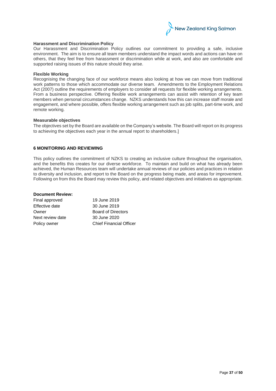

#### **Harassment and Discrimination Policy**

Our Harassment and Discrimination Policy outlines our commitment to providing a safe, inclusive environment. The aim is to ensure all team members understand the impact words and actions can have on others, that they feel free from harassment or discrimination while at work, and also are comfortable and supported raising issues of this nature should they arise.

#### **Flexible Working**

Recognising the changing face of our workforce means also looking at how we can move from traditional work patterns to those which accommodate our diverse team. Amendments to the Employment Relations Act (2007) outline the requirements of employers to consider all requests for flexible working arrangements. From a business perspective. Offering flexible work arrangements can assist with retention of key team members when personal circumstances change. NZKS understands how this can increase staff morale and engagement, and where possible, offers flexible working arrangement such as job splits, part-time work, and remote working.

#### **Measurable objectives**

The objectives set by the Board are available on the Company's website. The Board will report on its progress to achieving the objectives each year in the annual report to shareholders.]

# **6 MONITORING AND REVIEWING**

This policy outlines the commitment of NZKS to creating an inclusive culture throughout the organisation, and the benefits this creates for our diverse workforce. To maintain and build on what has already been achieved, the Human Resources team will undertake annual reviews of our policies and practices in relation to diversity and inclusion, and report to the Board on the progress being made, and areas for improvement. Following on from this the Board may review this policy, and related objectives and initiatives as appropriate.

# **Document Review:**

| 19 June 2019                   |
|--------------------------------|
| 30 June 2019                   |
| <b>Board of Directors</b>      |
| 30 June 2020                   |
| <b>Chief Financial Officer</b> |
|                                |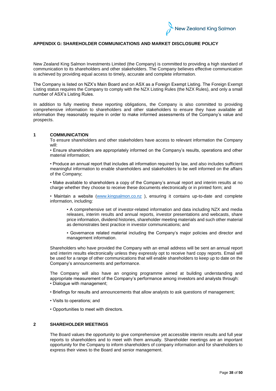

# **APPENDIX G: SHAREHOLDER COMMUNICATIONS AND MARKET DISCLOSURE POLICY**

New Zealand King Salmon Investments Limited (the Company) is committed to providing a high standard of communication to its shareholders and other stakeholders. The Company believes effective communication is achieved by providing equal access to timely, accurate and complete information.

The Company is listed on NZX's Main Board and on ASX as a Foreign Exempt Listing. The Foreign Exempt Listing status requires the Company to comply with the NZX Listing Rules (the NZX Rules), and only a small number of ASX's Listing Rules.

In addition to fully meeting these reporting obligations, the Company is also committed to providing comprehensive information to shareholders and other stakeholders to ensure they have available all information they reasonably require in order to make informed assessments of the Company's value and prospects.

# **1 COMMUNICATION**

To ensure shareholders and other stakeholders have access to relevant information the Company will:

• Ensure shareholders are appropriately informed on the Company's results, operations and other material information;

• Produce an annual report that includes all information required by law, and also includes sufficient meaningful information to enable shareholders and stakeholders to be well informed on the affairs of the Company;

• Make available to shareholders a copy of the Company's annual report and interim results at no charge whether they choose to receive these documents electronically or in printed form; and

• Maintain a website [\(www.kingsalmon.co.nz](http://www.kingsalmon.co.nz/) ), ensuring it contains up-to-date and complete information, including:

▪ A comprehensive set of investor-related information and data including NZX and media releases, interim results and annual reports, investor presentations and webcasts, share price information, dividend histories, shareholder meeting materials and such other material as demonstrates best practice in investor communications; and

▪ Governance related material including the Company's major policies and director and management information.

Shareholders who have provided the Company with an email address will be sent an annual report and interim results electronically unless they expressly opt to receive hard copy reports. Email will be used for a range of other communications that will enable shareholders to keep up to date on the Company's announcements and performance.

The Company will also have an ongoing programme aimed at building understanding and appropriate measurement of the Company's performance among investors and analysts through: • Dialogue with management;

- Briefings for results and announcements that allow analysts to ask questions of management;
- Visits to operations; and
- Opportunities to meet with directors.

#### **2 SHAREHOLDER MEETINGS**

The Board values the opportunity to give comprehensive yet accessible interim results and full year reports to shareholders and to meet with them annually. Shareholder meetings are an important opportunity for the Company to inform shareholders of company information and for shareholders to express their views to the Board and senior management.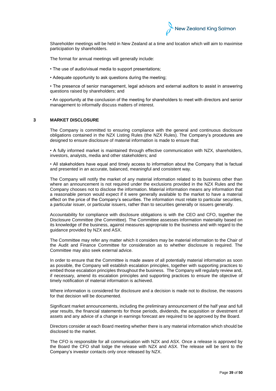

Shareholder meetings will be held in New Zealand at a time and location which will aim to maximise participation by shareholders.

The format for annual meetings will generally include:

- The use of audio/visual media to support presentations;
- Adequate opportunity to ask questions during the meeting;

• The presence of senior management, legal advisors and external auditors to assist in answering questions raised by shareholders; and

• An opportunity at the conclusion of the meeting for shareholders to meet with directors and senior management to informally discuss matters of interest.

# **3 MARKET DISCLOSURE**

The Company is committed to ensuring compliance with the general and continuous disclosure obligations contained in the NZX Listing Rules (the NZX Rules). The Company's procedures are designed to ensure disclosure of material information is made to ensure that:

• A fully informed market is maintained through effective communication with NZX, shareholders, investors, analysts, media and other stakeholders; and

• All stakeholders have equal and timely access to information about the Company that is factual and presented in an accurate, balanced, meaningful and consistent way.

The Company will notify the market of any material information related to its business other than where an announcement is not required under the exclusions provided in the NZX Rules and the Company chooses not to disclose the information. Material information means any information that a reasonable person would expect if it were generally available to the market to have a material effect on the price of the Company's securities. The information must relate to particular securities, a particular issuer, or particular issuers, rather than to securities generally or issuers generally.

Accountability for compliance with disclosure obligations is with the CEO and CFO, together the Disclosure Committee (the Committee). The Committee assesses information materiality based on its knowledge of the business, against measures appropriate to the business and with regard to the guidance provided by NZX and ASX.

The Committee may refer any matter which it considers may be material information to the Chair of the Audit and Finance Committee for consideration as to whether disclosure is required. The Committee may also seek external advice.

In order to ensure that the Committee is made aware of all potentially material information as soon as possible, the Company will establish escalation principles, together with supporting practices to embed those escalation principles throughout the business. The Company will regularly review and, if necessary, amend its escalation principles and supporting practices to ensure the objective of timely notification of material information is achieved.

Where information is considered for disclosure and a decision is made not to disclose, the reasons for that decision will be documented.

Significant market announcements, including the preliminary announcement of the half year and full year results, the financial statements for those periods, dividends, the acquisition or divestment of assets and any advice of a change in earnings forecast are required to be approved by the Board.

Directors consider at each Board meeting whether there is any material information which should be disclosed to the market.

The CFO is responsible for all communication with NZX and ASX. Once a release is approved by the Board the CFO shall lodge the release with NZX and ASX. The release will be sent to the Company's investor contacts only once released by NZX.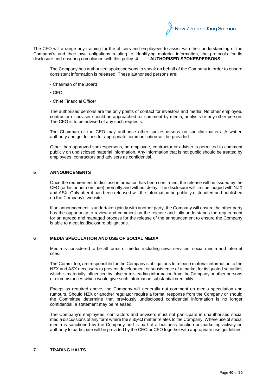

The CFO will arrange any training for the officers and employees to assist with their understanding of the Company's and their own obligations relating to identifying material information, the protocols for its disclosure and ensuring compliance with this policy. **4 AUTHORISED SPOKESPERSONS** 

The Company has authorised spokespersons to speak on behalf of the Company in order to ensure consistent information is released. These authorised persons are:

- Chairman of the Board
- CEO
- Chief Financial Officer

The authorised persons are the only points of contact for investors and media. No other employee, contractor or adviser should be approached for comment by media, analysts or any other person. The CFO is to be advised of any such requests.

The Chairman or the CEO may authorise other spokespersons on specific matters. A written authority and guidelines for appropriate communication will be provided.

Other than approved spokespersons, no employee, contractor or adviser is permitted to comment publicly on undisclosed material information. Any information that is not public should be treated by employees, contractors and advisers as confidential.

#### **5 ANNOUNCEMENTS**

Once the requirement to disclose information has been confirmed, the release will be issued by the CFO (or his or her nominee) promptly and without delay. The disclosure will first be lodged with NZX and ASX. Only after it has been released will the information be publicly distributed and published on the Company's website.

If an announcement is undertaken jointly with another party, the Company will ensure the other party has the opportunity to review and comment on the release and fully understands the requirement for an agreed and managed process for the release of the announcement to ensure the Company is able to meet its disclosure obligations.

#### **6 MEDIA SPECULATION AND USE OF SOCIAL MEDIA**

Media is considered to be all forms of media, including news services, social media and internet sites.

The Committee, are responsible for the Company's obligations to release material information to the NZX and ASX necessary to prevent development or subsistence of a market for its quoted securities which is materially influenced by false or misleading information from the Company or other persons or circumstances which would give such information substantial credibility.

Except as required above, the Company will generally not comment on media speculation and rumours. Should NZX or another regulator require a formal response from the Company or should the Committee determine that previously undisclosed confidential information is no longer confidential, a statement may be released.

The Company's employees, contractors and advisers must not participate in unauthorised social media discussions of any form where the subject matter relates to the Company. Where use of social media is sanctioned by the Company and is part of a business function or marketing activity an authority to participate will be provided by the CEO or CFO together with appropriate use guidelines.

# **7 TRADING HALTS**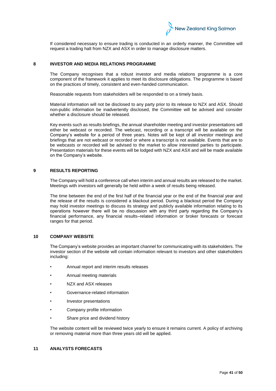

If considered necessary to ensure trading is conducted in an orderly manner, the Committee will request a trading halt from NZX and ASX in order to manage disclosure matters.

# **8 INVESTOR AND MEDIA RELATIONS PROGRAMME**

The Company recognises that a robust investor and media relations programme is a core component of the framework it applies to meet its disclosure obligations. The programme is based on the practices of timely, consistent and even-handed communication.

Reasonable requests from stakeholders will be responded to on a timely basis.

Material information will not be disclosed to any party prior to its release to NZX and ASX. Should non-public information be inadvertently disclosed, the Committee will be advised and consider whether a disclosure should be released.

Key events such as results briefings, the annual shareholder meeting and investor presentations will either be webcast or recorded. The webcast, recording or a transcript will be available on the Company's website for a period of three years. Notes will be kept of all investor meetings and briefings that are not webcast or recorded or where a transcript is not available. Events that are to be webcasts or recorded will be advised to the market to allow interested parties to participate. Presentation materials for these events will be lodged with NZX and ASX and will be made available on the Company's website.

#### **9 RESULTS REPORTING**

The Company will hold a conference call when interim and annual results are released to the market. Meetings with investors will generally be held within a week of results being released.

The time between the end of the first half of the financial year or the end of the financial year and the release of the results is considered a blackout period. During a blackout period the Company may hold investor meetings to discuss its strategy and publicly available information relating to its operations however there will be no discussion with any third party regarding the Company's financial performance, any financial results–related information or broker forecasts or forecast ranges for that period.

# **10 COMPANY WEBSITE**

The Company's website provides an important channel for communicating with its stakeholders. The investor section of the website will contain information relevant to investors and other stakeholders including:

- Annual report and interim results releases
- Annual meeting materials
- NZX and ASX releases
- Governance-related information
- Investor presentations
- Company profile information
- Share price and dividend history

The website content will be reviewed twice yearly to ensure it remains current. A policy of archiving or removing material more than three years old will be applied.

# **11 ANALYSTS FORECASTS**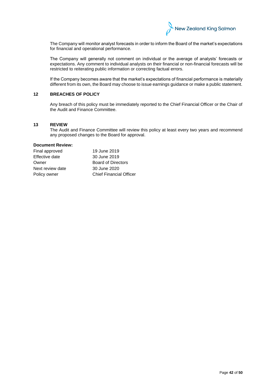

The Company will monitor analyst forecasts in order to inform the Board of the market's expectations for financial and operational performance.

The Company will generally not comment on individual or the average of analysts' forecasts or expectations. Any comment to individual analysts on their financial or non-financial forecasts will be restricted to reiterating public information or correcting factual errors.

If the Company becomes aware that the market's expectations of financial performance is materially different from its own, the Board may choose to issue earnings guidance or make a public statement.

# **12 BREACHES OF POLICY**

Any breach of this policy must be immediately reported to the Chief Financial Officer or the Chair of the Audit and Finance Committee.

#### **13 REVIEW**

The Audit and Finance Committee will review this policy at least every two years and recommend any proposed changes to the Board for approval.

# **Document Review:**

| Final approved   | 19 June 2019                   |
|------------------|--------------------------------|
| Effective date   | 30 June 2019                   |
| Owner            | <b>Board of Directors</b>      |
| Next review date | 30 June 2020                   |
| Policy owner     | <b>Chief Financial Officer</b> |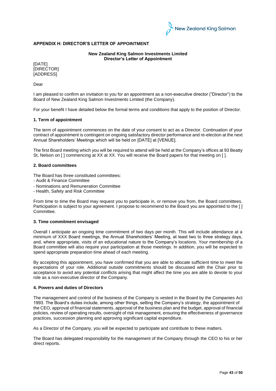

# **APPENDIX H: DIRECTOR'S LETTER OF APPOINTMENT**

**New Zealand King Salmon Investments Limited Director's Letter of Appointment**

[DATE] [DIRECTOR] [ADDRESS]

Dear

I am pleased to confirm an invitation to you for an appointment as a non-executive director ("Director") to the Board of New Zealand King Salmon Investments Limited (the Company).

For your benefit I have detailed below the formal terms and conditions that apply to the position of Director.

#### **1. Term of appointment**

The term of appointment commences on the date of your consent to act as a Director. Continuation of your contract of appointment is contingent on ongoing satisfactory director performance and re-election at the next Annual Shareholders' Meetings which will be held on [DATE] at [VENUE].

The first Board meeting which you will be required to attend will be held at the Company's offices at 93 Beatty St, Nelson on [ ] commencing at XX at XX. You will receive the Board papers for that meeting on [ ].

#### **2. Board committees**

The Board has three constituted committees:

- Audit & Finance Committee
- Nominations and Remuneration Committee
- Health, Safety and Risk Committee

From time to time the Board may request you to participate in, or remove you from, the Board committees. Participation is subject to your agreement. I propose to recommend to the Board you are appointed to the [ ] Committee.

# **3. Time commitment envisaged**

Overall I anticipate an ongoing time commitment of two days per month. This will include attendance at a minimum of XXX Board meetings, the Annual Shareholders' Meeting, at least two to three strategy days, and, where appropriate, visits of an educational nature to the Company's locations. Your membership of a Board committee will also require your participation at those meetings. In addition, you will be expected to spend appropriate preparation time ahead of each meeting.

By accepting this appointment, you have confirmed that you are able to allocate sufficient time to meet the expectations of your role. Additional outside commitments should be discussed with the Chair prior to acceptance to avoid any potential conflicts arising that might affect the time you are able to devote to your role as a non-executive director of the Company.

#### **4. Powers and duties of Directors**

The management and control of the business of the Company is vested in the Board by the Companies Act 1993. The Board's duties include, among other things, setting the Company's strategy, the appointment of the CEO, approval of financial statements, approval of the business plan and the budget, approval of financial policies, review of operating results, oversight of risk management, ensuring the effectiveness of governance practices, succession planning and approving significant capital expenditure.

As a Director of the Company, you will be expected to participate and contribute to these matters.

The Board has delegated responsibility for the management of the Company through the CEO to his or her direct reports.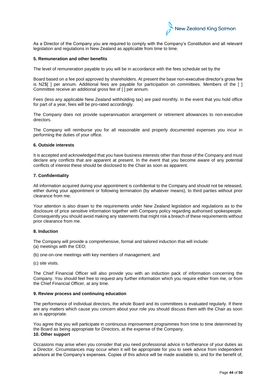

As a Director of the Company you are required to comply with the Company's Constitution and all relevant legislation and regulations in New Zealand as applicable from time to time.

#### **5. Remuneration and other benefits**

The level of remuneration payable to you will be in accordance with the fees schedule set by the

Board based on a fee pool approved by shareholders. At present the base non-executive director's gross fee is NZ\$[ ] per annum. Additional fees are payable for participation on committees. Members of the [ ] Committee receive an additional gross fee of [ ] per annum.

Fees (less any applicable New Zealand withholding tax) are paid monthly. In the event that you hold office for part of a year, fees will be pro-rated accordingly.

The Company does not provide superannuation arrangement or retirement allowances to non-executive directors.

The Company will reimburse you for all reasonable and properly documented expenses you incur in performing the duties of your office.

#### **6. Outside interests**

It is accepted and acknowledged that you have business interests other than those of the Company and must declare any conflicts that are apparent at present. In the event that you become aware of any potential conflicts of interest these should be disclosed to the Chair as soon as apparent.

#### **7. Confidentiality**

All information acquired during your appointment is confidential to the Company and should not be released, either during your appointment or following termination (by whatever means), to third parties without prior clearance from me.

Your attention is also drawn to the requirements under New Zealand legislation and regulations as to the disclosure of price sensitive information together with Company policy regarding authorised spokespeople. Consequently you should avoid making any statements that might risk a breach of these requirements without prior clearance from me.

#### **8. Induction**

The Company will provide a comprehensive, formal and tailored induction that will include: (a) meetings with the CEO;

(b) one-on-one meetings with key members of management; and

(c) site visits.

The Chief Financial Officer will also provide you with an induction pack of information concerning the Company. You should feel free to request any further information which you require either from me, or from the Chief Financial Officer, at any time.

#### **9. Review process and continuing education**

The performance of individual directors, the whole Board and its committees is evaluated regularly. If there are any matters which cause you concern about your role you should discuss them with the Chair as soon as is appropriate.

You agree that you will participate in continuous improvement programmes from time to time determined by the Board as being appropriate for Directors, at the expense of the Company. **10. Other support** 

Occasions may arise when you consider that you need professional advice in furtherance of your duties as a Director. Circumstances may occur when it will be appropriate for you to seek advice from independent advisors at the Company's expenses. Copies of this advice will be made available to, and for the benefit of,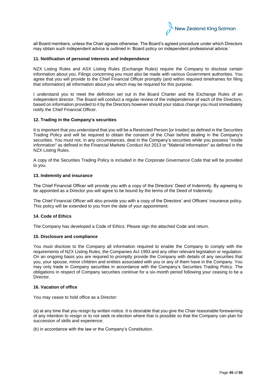

all Board members, unless the Chair agrees otherwise. The Board's agreed procedure under which Directors may obtain such independent advice is outlined in 'Board policy on independent professional advice.'

#### **11. Notification of personal interests and independence**

NZX Listing Rules and ASX Listing Rules (Exchange Rules) require the Company to disclose certain information about you. Filings concerning you must also be made with various Government authorities. You agree that you will provide to the Chief Financial Officer promptly (and within required timeframes for filing that information) all information about you which may be required for this purpose.

I understand you to meet the definition set out in the Board Charter and the Exchange Rules of an independent director. The Board will conduct a regular review of the independence of each of the Directors, based on information provided to it by the Directors however should your status change you must immediately notify the Chief Financial Officer.

#### **12. Trading in the Company's securities**

It is important that you understand that you will be a Restricted Person [or Insider] as defined in the Securities Trading Policy and will be required to obtain the consent of the Chair before dealing in the Company's securities. You must not, in any circumstances, deal in the Company's securities while you possess "inside information" as defined in the Financial Markets Conduct Act 2013 or "Material Information" as defined in the NZX Listing Rules.

A copy of the Securities Trading Policy is included in the Corporate Governance Code that will be provided to you.

#### **13. Indemnity and insurance**

The Chief Financial Officer will provide you with a copy of the Directors' Deed of Indemnity. By agreeing to be appointed as a Director you will agree to be bound by the terms of the Deed of Indemnity.

The Chief Financial Officer will also provide you with a copy of the Directors' and Officers' insurance policy. This policy will be extended to you from the date of your appointment.

#### **14. Code of Ethics**

The Company has developed a Code of Ethics. Please sign the attached Code and return.

#### **15. Disclosure and compliance**

You must disclose to the Company all information required to enable the Company to comply with the requirements of NZX Listing Rules, the Companies Act 1993 and any other relevant legislation or regulation. On an ongoing basis you are required to promptly provide the Company with details of any securities that you, your spouse, minor children and entities associated with you or any of them have in the Company. You may only trade in Company securities in accordance with the Company's Securities Trading Policy. The obligations in respect of Company securities continue for a six-month period following your ceasing to be a Director.

# **16. Vacation of office**

You may cease to hold office as a Director:

(a) at any time that you resign by written notice. It is desirable that you give the Chair reasonable forewarning of any intention to resign or to not seek re-election where that is possible so that the Company can plan for succession of skills and experience;

(b) in accordance with the law or the Company's Constitution.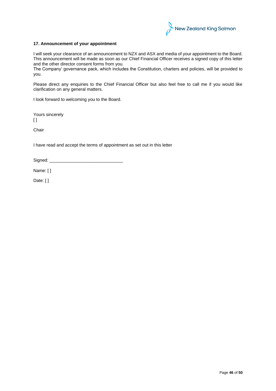

# **17. Announcement of your appointment**

I will seek your clearance of an announcement to NZX and ASX and media of your appointment to the Board. This announcement will be made as soon as our Chief Financial Officer receives a signed copy of this letter and the other director consent forms from you.

The Company' governance pack, which includes the Constitution, charters and policies, will be provided to you.

Please direct any enquiries to the Chief Financial Officer but also feel free to call me if you would like clarification on any general matters.

I look forward to welcoming you to the Board.

Yours sincerely  $\lceil$   $\rceil$ 

Chair

I have read and accept the terms of appointment as set out in this letter

Signed:

Name: [ ]

Date: [ ]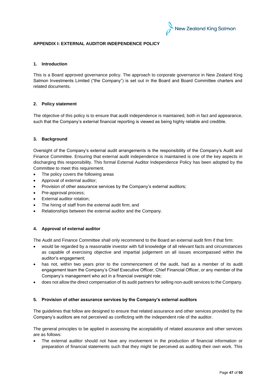

# **APPENDIX I: EXTERNAL AUDITOR INDEPENDENCE POLICY**

# **1. Introduction**

This is a Board approved governance policy. The approach to corporate governance in New Zealand King Salmon Investments Limited ("the Company") is set out in the Board and Board Committee charters and related documents.

# **2. Policy statement**

The objective of this policy is to ensure that audit independence is maintained, both in fact and appearance, such that the Company's external financial reporting is viewed as being highly reliable and credible.

# **3. Background**

Oversight of the Company's external audit arrangements is the responsibility of the Company's Audit and Finance Committee. Ensuring that external audit independence is maintained is one of the key aspects in discharging this responsibility. This formal External Auditor Independence Policy has been adopted by the Committee to meet this requirement.

- The policy covers the following areas
- Approval of external auditor;
- Provision of other assurance services by the Company's external auditors;
- Pre-approval process;
- External auditor rotation;
- The hiring of staff from the external audit firm; and
- Relationships between the external auditor and the Company.

# **4. Approval of external auditor**

The Audit and Finance Committee shall only recommend to the Board an external audit firm if that firm:

- would be regarded by a reasonable investor with full knowledge of all relevant facts and circumstances as capable of exercising objective and impartial judgement on all issues encompassed within the auditor's engagement;
- has not, within two years prior to the commencement of the audit, had as a member of its audit engagement team the Company's Chief Executive Officer, Chief Financial Officer, or any member of the Company's management who act in a financial oversight role;
- does not allow the direct compensation of its audit partners for selling non-audit services to the Company.

#### **5. Provision of other assurance services by the Company's external auditors**

The guidelines that follow are designed to ensure that related assurance and other services provided by the Company's auditors are not perceived as conflicting with the independent role of the auditor.

The general principles to be applied in assessing the acceptability of related assurance and other services are as follows:

The external auditor should not have any involvement in the production of financial information or preparation of financial statements such that they might be perceived as auditing their own work. This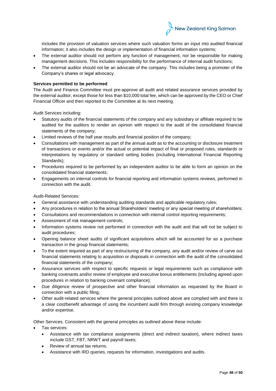

includes the provision of valuation services where such valuation forms an input into audited financial information; it also includes the design or implementation of financial information systems;

- The external auditor should not perform any function of management, nor be responsible for making management decisions. This includes responsibility for the performance of internal audit functions;
- The external auditor should not be an advocate of the company. This includes being a promoter of the Company's shares or legal advocacy.

# **Services permitted to be performed**

The Audit and Finance Committee must pre-approve all audit and related assurance services provided by the external auditor, except those for less than \$10,000 total fee, which can be approved by the CEO or Chief Financial Officer and then reported to the Committee at its next meeting.

Audit Services including:

- Statutory audits of the financial statements of the company and any subsidiary or affiliate required to be audited for the auditors to render an opinion with respect to the audit of the consolidated financial statements of the company;
- Limited reviews of the half year results and financial position of the company;
- Consultations with management as part of the annual audit as to the accounting or disclosure treatment of transactions or events and/or the actual or potential impact of final or proposed rules, standards or interpretations by regulatory or standard setting bodies (including International Financial Reporting Standards);
- Procedures required to be performed by an independent auditor to be able to form an opinion on the consolidated financial statements;
- Engagements on internal controls for financial reporting and information systems reviews, performed in connection with the audit.

Audit-Related Services:

- General assistance with understanding auditing standards and applicable regulatory rules;
- Any procedures in relation to the annual Shareholders' meeting or any special meeting of shareholders;
- Consultations and recommendations in connection with internal control reporting requirements;
- Assessment of risk management controls;
- Information systems review not performed in connection with the audit and that will not be subject to audit procedures;
- Opening balance sheet audits of significant acquisitions which will be accounted for as a purchase transaction in the group financial statements;
- To the extent required as part of any restructuring of the company, any audit and/or review of carve out financial statements relating to acquisition or disposals in connection with the audit of the consolidated financial statements of the company;
- Assurance services with respect to specific requests or legal requirements such as compliance with banking covenants and/or review of employee and executive bonus entitlements (including agreed upon procedures in relation to banking covenant compliance);
- Due diligence review of prospective and other financial information as requested by the Board in connection with a public filing;
- Other audit-related services where the general principles outlined above are complied with and there is a clear cost/benefit advantage of using the incumbent audit firm through existing company knowledge and/or expertise.

Other Services. Consistent with the general principles as outlined above these include:

- Tax services:
	- Assistance with tax compliance assignments (direct and indirect taxation), where indirect taxes include GST, FBT, NRWT and payroll taxes;
	- Review of annual tax returns;
	- Assistance with IRD queries, requests for information, investigations and audits.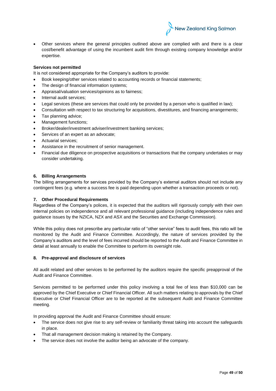

• Other services where the general principles outlined above are complied with and there is a clear cost/benefit advantage of using the incumbent audit firm through existing company knowledge and/or expertise.

# **Services not permitted**

It is not considered appropriate for the Company's auditors to provide:

- Book keeping/other services related to accounting records or financial statements;
- The design of financial information systems;
- Appraisal/valuation services/opinions as to fairness;
- Internal audit services;
- Legal services (these are services that could only be provided by a person who is qualified in law);
- Consultation with respect to tax structuring for acquisitions, divestitures, and financing arrangements;
- Tax planning advice;
- Management functions:
- Broker/dealer/investment adviser/investment banking services;
- Services of an expert as an advocate;
- Actuarial services:
- Assistance in the recruitment of senior management.
- Financial due diligence on prospective acquisitions or transactions that the company undertakes or may consider undertaking.

# **6. Billing Arrangements**

The billing arrangements for services provided by the Company's external auditors should not include any contingent fees (e.g. where a success fee is paid depending upon whether a transaction proceeds or not).

# **7. Other Procedural Requirements**

Regardless of the Company's polices, it is expected that the auditors will rigorously comply with their own internal policies on independence and all relevant professional guidance (including independence rules and guidance issues by the NZICA, NZX and ASX and the Securities and Exchange Commission).

While this policy does not prescribe any particular ratio of "other service" fees to audit fees, this ratio will be monitored by the Audit and Finance Committee. Accordingly, the nature of services provided by the Company's auditors and the level of fees incurred should be reported to the Audit and Finance Committee in detail at least annually to enable the Committee to perform its oversight role.

# **8. Pre-approval and disclosure of services**

All audit related and other services to be performed by the auditors require the specific preapproval of the Audit and Finance Committee.

Services permitted to be performed under this policy involving a total fee of less than \$10,000 can be approved by the Chief Executive or Chief Financial Officer. All such matters relating to approvals by the Chief Executive or Chief Financial Officer are to be reported at the subsequent Audit and Finance Committee meeting.

In providing approval the Audit and Finance Committee should ensure:

- The service does not give rise to any self-review or familiarity threat taking into account the safeguards in place.
- That all management decision making is retained by the Company.
- The service does not involve the auditor being an advocate of the company.